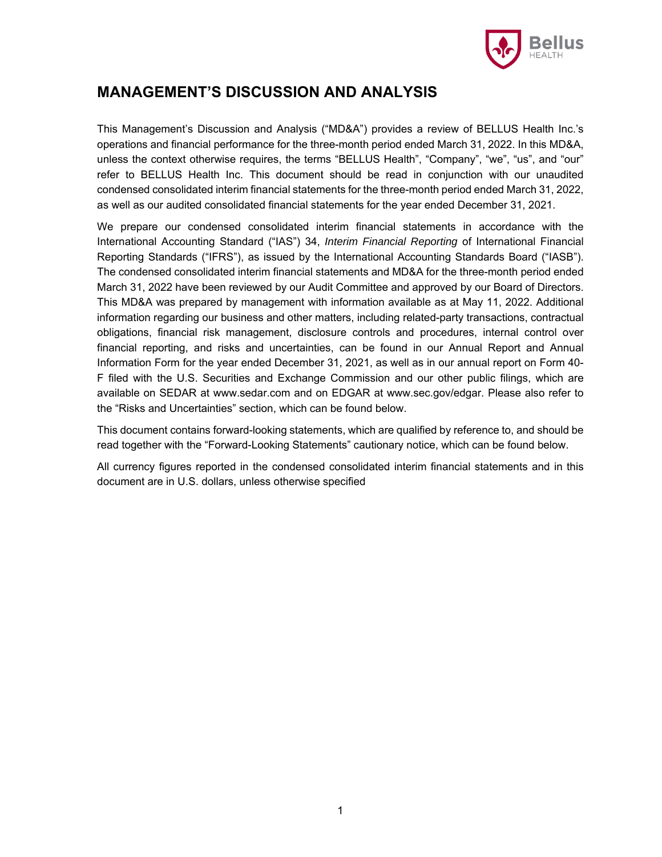

## **MANAGEMENT'S DISCUSSION AND ANALYSIS**

This Management's Discussion and Analysis ("MD&A") provides a review of BELLUS Health Inc.'s operations and financial performance for the three-month period ended March 31, 2022. In this MD&A, unless the context otherwise requires, the terms "BELLUS Health", "Company", "we", "us", and "our" refer to BELLUS Health Inc. This document should be read in conjunction with our unaudited condensed consolidated interim financial statements for the three-month period ended March 31, 2022, as well as our audited consolidated financial statements for the year ended December 31, 2021.

We prepare our condensed consolidated interim financial statements in accordance with the International Accounting Standard ("IAS") 34, *Interim Financial Reporting* of International Financial Reporting Standards ("IFRS"), as issued by the International Accounting Standards Board ("IASB"). The condensed consolidated interim financial statements and MD&A for the three-month period ended March 31, 2022 have been reviewed by our Audit Committee and approved by our Board of Directors. This MD&A was prepared by management with information available as at May 11, 2022. Additional information regarding our business and other matters, including related-party transactions, contractual obligations, financial risk management, disclosure controls and procedures, internal control over financial reporting, and risks and uncertainties, can be found in our Annual Report and Annual Information Form for the year ended December 31, 2021, as well as in our annual report on Form 40- F filed with the U.S. Securities and Exchange Commission and our other public filings, which are available on SEDAR at www.sedar.com and on EDGAR at www.sec.gov/edgar. Please also refer to the "Risks and Uncertainties" section, which can be found below.

This document contains forward-looking statements, which are qualified by reference to, and should be read together with the "Forward-Looking Statements" cautionary notice, which can be found below.

All currency figures reported in the condensed consolidated interim financial statements and in this document are in U.S. dollars, unless otherwise specified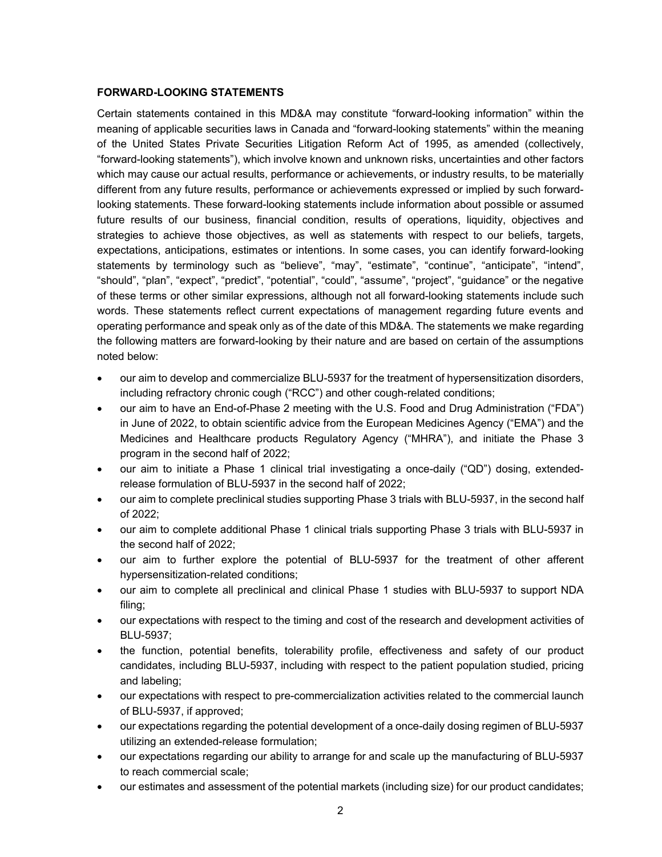### **FORWARD-LOOKING STATEMENTS**

Certain statements contained in this MD&A may constitute "forward-looking information" within the meaning of applicable securities laws in Canada and "forward-looking statements" within the meaning of the United States Private Securities Litigation Reform Act of 1995, as amended (collectively, "forward-looking statements"), which involve known and unknown risks, uncertainties and other factors which may cause our actual results, performance or achievements, or industry results, to be materially different from any future results, performance or achievements expressed or implied by such forwardlooking statements. These forward-looking statements include information about possible or assumed future results of our business, financial condition, results of operations, liquidity, objectives and strategies to achieve those objectives, as well as statements with respect to our beliefs, targets, expectations, anticipations, estimates or intentions. In some cases, you can identify forward-looking statements by terminology such as "believe", "may", "estimate", "continue", "anticipate", "intend", "should", "plan", "expect", "predict", "potential", "could", "assume", "project", "guidance" or the negative of these terms or other similar expressions, although not all forward-looking statements include such words. These statements reflect current expectations of management regarding future events and operating performance and speak only as of the date of this MD&A. The statements we make regarding the following matters are forward-looking by their nature and are based on certain of the assumptions noted below:

- our aim to develop and commercialize BLU-5937 for the treatment of hypersensitization disorders, including refractory chronic cough ("RCC") and other cough-related conditions;
- our aim to have an End-of-Phase 2 meeting with the U.S. Food and Drug Administration ("FDA") in June of 2022, to obtain scientific advice from the European Medicines Agency ("EMA") and the Medicines and Healthcare products Regulatory Agency ("MHRA"), and initiate the Phase 3 program in the second half of 2022;
- our aim to initiate a Phase 1 clinical trial investigating a once-daily ("QD") dosing, extendedrelease formulation of BLU-5937 in the second half of 2022;
- our aim to complete preclinical studies supporting Phase 3 trials with BLU-5937, in the second half of 2022;
- our aim to complete additional Phase 1 clinical trials supporting Phase 3 trials with BLU-5937 in the second half of 2022;
- our aim to further explore the potential of BLU-5937 for the treatment of other afferent hypersensitization-related conditions;
- our aim to complete all preclinical and clinical Phase 1 studies with BLU-5937 to support NDA filing;
- our expectations with respect to the timing and cost of the research and development activities of BLU-5937;
- the function, potential benefits, tolerability profile, effectiveness and safety of our product candidates, including BLU-5937, including with respect to the patient population studied, pricing and labeling;
- our expectations with respect to pre-commercialization activities related to the commercial launch of BLU-5937, if approved;
- our expectations regarding the potential development of a once-daily dosing regimen of BLU-5937 utilizing an extended-release formulation;
- our expectations regarding our ability to arrange for and scale up the manufacturing of BLU-5937 to reach commercial scale;
- our estimates and assessment of the potential markets (including size) for our product candidates;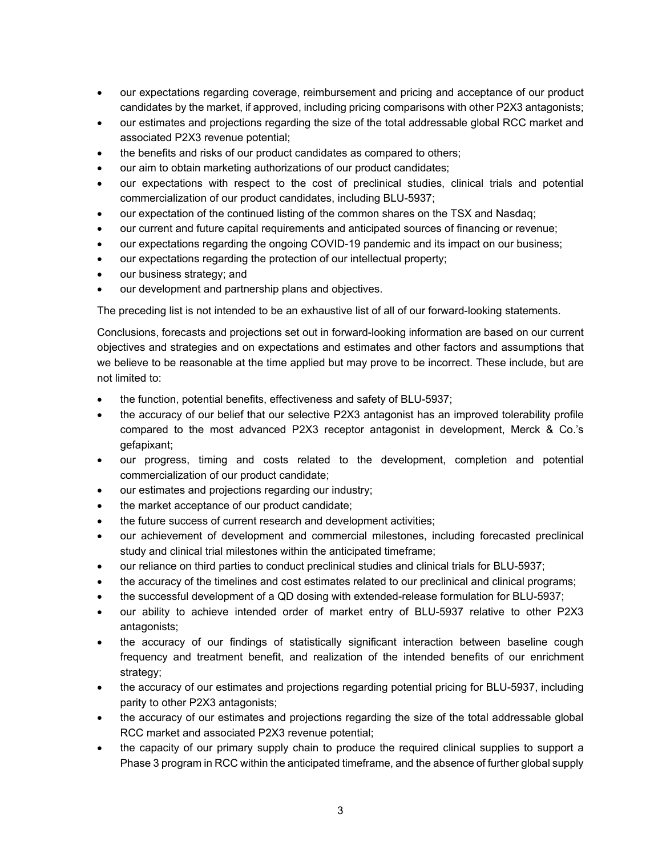- our expectations regarding coverage, reimbursement and pricing and acceptance of our product candidates by the market, if approved, including pricing comparisons with other P2X3 antagonists;
- our estimates and projections regarding the size of the total addressable global RCC market and associated P2X3 revenue potential;
- the benefits and risks of our product candidates as compared to others;
- our aim to obtain marketing authorizations of our product candidates;
- our expectations with respect to the cost of preclinical studies, clinical trials and potential commercialization of our product candidates, including BLU-5937;
- our expectation of the continued listing of the common shares on the TSX and Nasdaq;
- our current and future capital requirements and anticipated sources of financing or revenue;
- our expectations regarding the ongoing COVID-19 pandemic and its impact on our business;
- our expectations regarding the protection of our intellectual property;
- our business strategy; and
- our development and partnership plans and objectives.

The preceding list is not intended to be an exhaustive list of all of our forward-looking statements.

Conclusions, forecasts and projections set out in forward-looking information are based on our current objectives and strategies and on expectations and estimates and other factors and assumptions that we believe to be reasonable at the time applied but may prove to be incorrect. These include, but are not limited to:

- the function, potential benefits, effectiveness and safety of BLU-5937;
- the accuracy of our belief that our selective P2X3 antagonist has an improved tolerability profile compared to the most advanced P2X3 receptor antagonist in development, Merck & Co.'s gefapixant;
- our progress, timing and costs related to the development, completion and potential commercialization of our product candidate;
- our estimates and projections regarding our industry;
- the market acceptance of our product candidate;
- the future success of current research and development activities;
- our achievement of development and commercial milestones, including forecasted preclinical study and clinical trial milestones within the anticipated timeframe;
- our reliance on third parties to conduct preclinical studies and clinical trials for BLU-5937;
- the accuracy of the timelines and cost estimates related to our preclinical and clinical programs;
- the successful development of a QD dosing with extended-release formulation for BLU-5937;
- our ability to achieve intended order of market entry of BLU-5937 relative to other P2X3 antagonists;
- the accuracy of our findings of statistically significant interaction between baseline cough frequency and treatment benefit, and realization of the intended benefits of our enrichment strategy;
- the accuracy of our estimates and projections regarding potential pricing for BLU-5937, including parity to other P2X3 antagonists;
- the accuracy of our estimates and projections regarding the size of the total addressable global RCC market and associated P2X3 revenue potential;
- the capacity of our primary supply chain to produce the required clinical supplies to support a Phase 3 program in RCC within the anticipated timeframe, and the absence of further global supply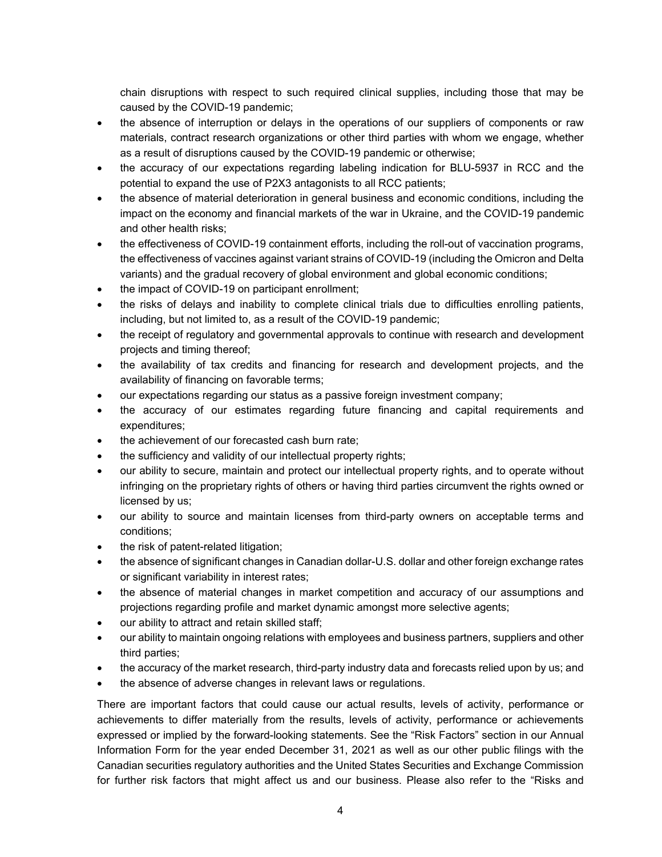chain disruptions with respect to such required clinical supplies, including those that may be caused by the COVID-19 pandemic;

- the absence of interruption or delays in the operations of our suppliers of components or raw materials, contract research organizations or other third parties with whom we engage, whether as a result of disruptions caused by the COVID-19 pandemic or otherwise;
- the accuracy of our expectations regarding labeling indication for BLU-5937 in RCC and the potential to expand the use of P2X3 antagonists to all RCC patients;
- the absence of material deterioration in general business and economic conditions, including the impact on the economy and financial markets of the war in Ukraine, and the COVID-19 pandemic and other health risks;
- the effectiveness of COVID-19 containment efforts, including the roll-out of vaccination programs, the effectiveness of vaccines against variant strains of COVID-19 (including the Omicron and Delta variants) and the gradual recovery of global environment and global economic conditions;
- the impact of COVID-19 on participant enrollment;
- the risks of delays and inability to complete clinical trials due to difficulties enrolling patients, including, but not limited to, as a result of the COVID-19 pandemic;
- the receipt of regulatory and governmental approvals to continue with research and development projects and timing thereof;
- the availability of tax credits and financing for research and development projects, and the availability of financing on favorable terms;
- our expectations regarding our status as a passive foreign investment company;
- the accuracy of our estimates regarding future financing and capital requirements and expenditures;
- the achievement of our forecasted cash burn rate;
- the sufficiency and validity of our intellectual property rights;
- our ability to secure, maintain and protect our intellectual property rights, and to operate without infringing on the proprietary rights of others or having third parties circumvent the rights owned or licensed by us;
- our ability to source and maintain licenses from third-party owners on acceptable terms and conditions;
- the risk of patent-related litigation;
- the absence of significant changes in Canadian dollar-U.S. dollar and other foreign exchange rates or significant variability in interest rates;
- the absence of material changes in market competition and accuracy of our assumptions and projections regarding profile and market dynamic amongst more selective agents;
- our ability to attract and retain skilled staff;
- our ability to maintain ongoing relations with employees and business partners, suppliers and other third parties;
- the accuracy of the market research, third-party industry data and forecasts relied upon by us; and
- the absence of adverse changes in relevant laws or regulations.

There are important factors that could cause our actual results, levels of activity, performance or achievements to differ materially from the results, levels of activity, performance or achievements expressed or implied by the forward-looking statements. See the "Risk Factors" section in our Annual Information Form for the year ended December 31, 2021 as well as our other public filings with the Canadian securities regulatory authorities and the United States Securities and Exchange Commission for further risk factors that might affect us and our business. Please also refer to the "Risks and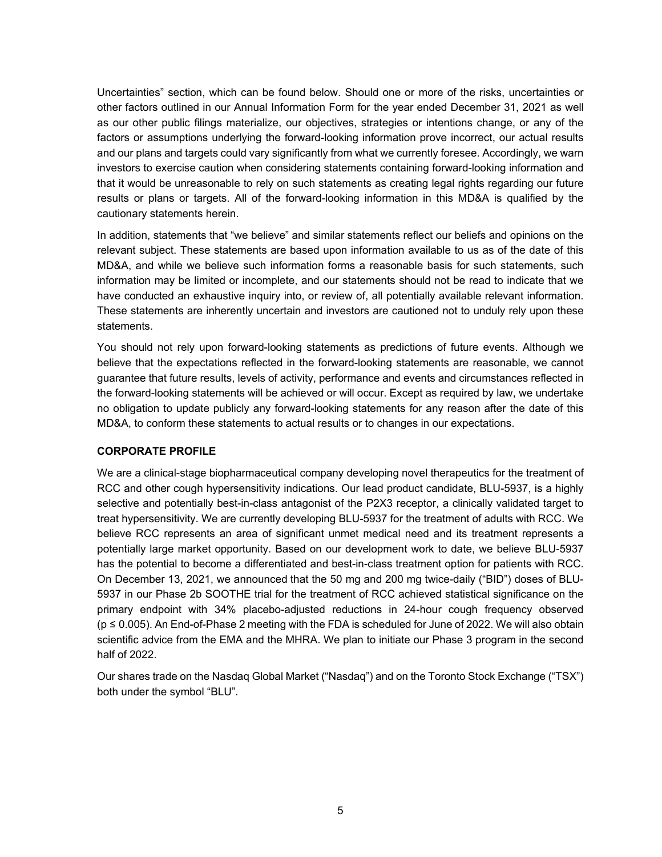Uncertainties" section, which can be found below. Should one or more of the risks, uncertainties or other factors outlined in our Annual Information Form for the year ended December 31, 2021 as well as our other public filings materialize, our objectives, strategies or intentions change, or any of the factors or assumptions underlying the forward-looking information prove incorrect, our actual results and our plans and targets could vary significantly from what we currently foresee. Accordingly, we warn investors to exercise caution when considering statements containing forward-looking information and that it would be unreasonable to rely on such statements as creating legal rights regarding our future results or plans or targets. All of the forward-looking information in this MD&A is qualified by the cautionary statements herein.

In addition, statements that "we believe" and similar statements reflect our beliefs and opinions on the relevant subject. These statements are based upon information available to us as of the date of this MD&A, and while we believe such information forms a reasonable basis for such statements, such information may be limited or incomplete, and our statements should not be read to indicate that we have conducted an exhaustive inquiry into, or review of, all potentially available relevant information. These statements are inherently uncertain and investors are cautioned not to unduly rely upon these statements.

You should not rely upon forward-looking statements as predictions of future events. Although we believe that the expectations reflected in the forward-looking statements are reasonable, we cannot guarantee that future results, levels of activity, performance and events and circumstances reflected in the forward-looking statements will be achieved or will occur. Except as required by law, we undertake no obligation to update publicly any forward-looking statements for any reason after the date of this MD&A, to conform these statements to actual results or to changes in our expectations.

### **CORPORATE PROFILE**

We are a clinical-stage biopharmaceutical company developing novel therapeutics for the treatment of RCC and other cough hypersensitivity indications. Our lead product candidate, BLU-5937, is a highly selective and potentially best-in-class antagonist of the P2X3 receptor, a clinically validated target to treat hypersensitivity. We are currently developing BLU-5937 for the treatment of adults with RCC. We believe RCC represents an area of significant unmet medical need and its treatment represents a potentially large market opportunity. Based on our development work to date, we believe BLU-5937 has the potential to become a differentiated and best-in-class treatment option for patients with RCC. On December 13, 2021, we announced that the 50 mg and 200 mg twice-daily ("BID") doses of BLU-5937 in our Phase 2b SOOTHE trial for the treatment of RCC achieved statistical significance on the primary endpoint with 34% placebo-adjusted reductions in 24-hour cough frequency observed (p ≤ 0.005). An End-of-Phase 2 meeting with the FDA is scheduled for June of 2022. We will also obtain scientific advice from the EMA and the MHRA. We plan to initiate our Phase 3 program in the second half of 2022.

Our shares trade on the Nasdaq Global Market ("Nasdaq") and on the Toronto Stock Exchange ("TSX") both under the symbol "BLU".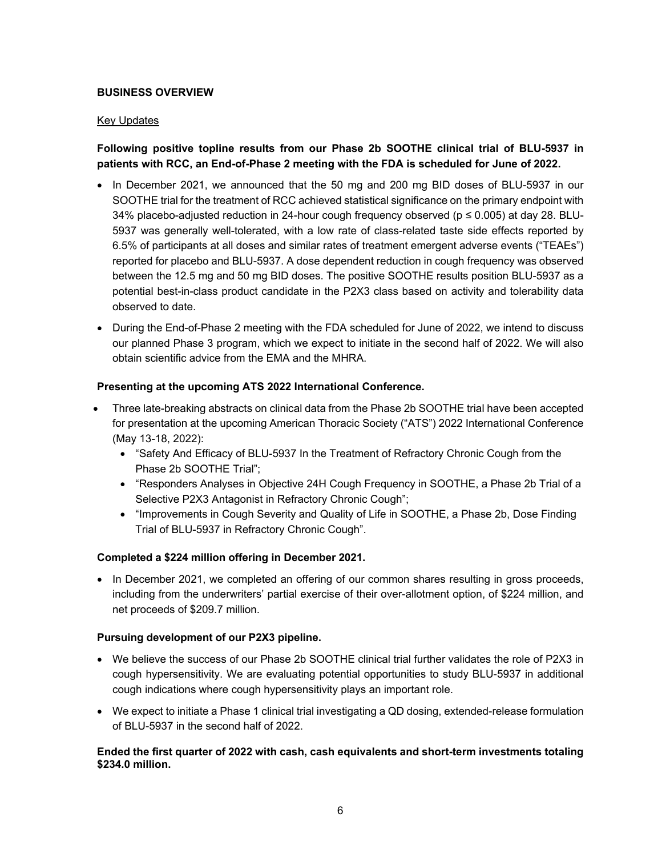### **BUSINESS OVERVIEW**

### Key Updates

## **Following positive topline results from our Phase 2b SOOTHE clinical trial of BLU-5937 in patients with RCC, an End-of-Phase 2 meeting with the FDA is scheduled for June of 2022.**

- In December 2021, we announced that the 50 mg and 200 mg BID doses of BLU-5937 in our SOOTHE trial for the treatment of RCC achieved statistical significance on the primary endpoint with 34% placebo-adjusted reduction in 24-hour cough frequency observed ( $p \le 0.005$ ) at day 28. BLU-5937 was generally well-tolerated, with a low rate of class-related taste side effects reported by 6.5% of participants at all doses and similar rates of treatment emergent adverse events ("TEAEs") reported for placebo and BLU-5937. A dose dependent reduction in cough frequency was observed between the 12.5 mg and 50 mg BID doses. The positive SOOTHE results position BLU-5937 as a potential best-in-class product candidate in the P2X3 class based on activity and tolerability data observed to date.
- During the End-of-Phase 2 meeting with the FDA scheduled for June of 2022, we intend to discuss our planned Phase 3 program, which we expect to initiate in the second half of 2022. We will also obtain scientific advice from the EMA and the MHRA.

### **Presenting at the upcoming ATS 2022 International Conference.**

- Three late-breaking abstracts on clinical data from the Phase 2b SOOTHE trial have been accepted for presentation at the upcoming American Thoracic Society ("ATS") 2022 International Conference (May 13-18, 2022):
	- "Safety And Efficacy of BLU-5937 In the Treatment of Refractory Chronic Cough from the Phase 2b SOOTHE Trial";
	- "Responders Analyses in Objective 24H Cough Frequency in SOOTHE, a Phase 2b Trial of a Selective P2X3 Antagonist in Refractory Chronic Cough";
	- "Improvements in Cough Severity and Quality of Life in SOOTHE, a Phase 2b, Dose Finding Trial of BLU-5937 in Refractory Chronic Cough".

### **Completed a \$224 million offering in December 2021.**

• In December 2021, we completed an offering of our common shares resulting in gross proceeds, including from the underwriters' partial exercise of their over-allotment option, of \$224 million, and net proceeds of \$209.7 million.

### **Pursuing development of our P2X3 pipeline.**

- We believe the success of our Phase 2b SOOTHE clinical trial further validates the role of P2X3 in cough hypersensitivity. We are evaluating potential opportunities to study BLU-5937 in additional cough indications where cough hypersensitivity plays an important role.
- We expect to initiate a Phase 1 clinical trial investigating a QD dosing, extended-release formulation of BLU-5937 in the second half of 2022.

### **Ended the first quarter of 2022 with cash, cash equivalents and short-term investments totaling \$234.0 million.**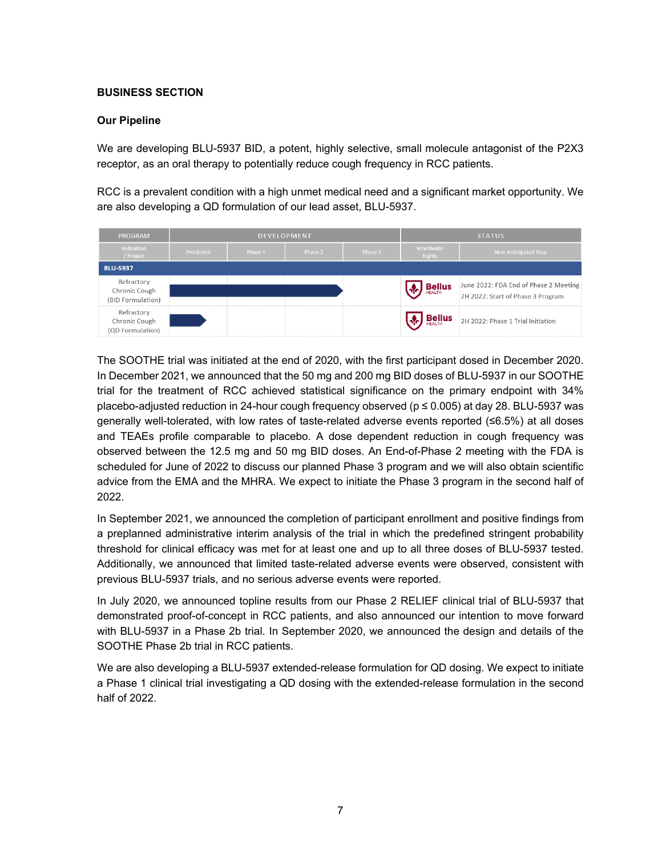### **BUSINESS SECTION**

### **Our Pipeline**

We are developing BLU-5937 BID, a potent, highly selective, small molecule antagonist of the P2X3 receptor, as an oral therapy to potentially reduce cough frequency in RCC patients.

RCC is a prevalent condition with a high unmet medical need and a significant market opportunity. We are also developing a QD formulation of our lead asset, BLU-5937.

| <b>PROGRAM</b>                                   |             |         | DEVELOPMENT |         |                            | <b>STATUS</b>                                                              |
|--------------------------------------------------|-------------|---------|-------------|---------|----------------------------|----------------------------------------------------------------------------|
| Indication<br>/ Project                          | Preclinical | Phase 1 | Phase 2     | Phase 3 | Worldwide<br><b>Rights</b> | <b>Next Anticipated Step</b>                                               |
| <b>BLU-5937</b>                                  |             |         |             |         |                            |                                                                            |
| Refractory<br>Chronic Cough<br>(BID Formulation) |             |         |             |         | <b>OC</b> Bellus           | June 2022: FDA End of Phase 2 Meeting<br>2H 2022: Start of Phase 3 Program |
| Refractory<br>Chronic Cough<br>(QD Formulation)  |             |         |             |         | <b>Bellus</b>              | 2H 2022: Phase 1 Trial Initiation                                          |

The SOOTHE trial was initiated at the end of 2020, with the first participant dosed in December 2020. In December 2021, we announced that the 50 mg and 200 mg BID doses of BLU-5937 in our SOOTHE trial for the treatment of RCC achieved statistical significance on the primary endpoint with 34% placebo-adjusted reduction in 24-hour cough frequency observed (p ≤ 0.005) at day 28. BLU-5937 was generally well-tolerated, with low rates of taste-related adverse events reported (≤6.5%) at all doses and TEAEs profile comparable to placebo. A dose dependent reduction in cough frequency was observed between the 12.5 mg and 50 mg BID doses. An End-of-Phase 2 meeting with the FDA is scheduled for June of 2022 to discuss our planned Phase 3 program and we will also obtain scientific advice from the EMA and the MHRA. We expect to initiate the Phase 3 program in the second half of 2022.

In September 2021, we announced the completion of participant enrollment and positive findings from a preplanned administrative interim analysis of the trial in which the predefined stringent probability threshold for clinical efficacy was met for at least one and up to all three doses of BLU-5937 tested. Additionally, we announced that limited taste-related adverse events were observed, consistent with previous BLU-5937 trials, and no serious adverse events were reported.

In July 2020, we announced topline results from our Phase 2 RELIEF clinical trial of BLU-5937 that demonstrated proof-of-concept in RCC patients, and also announced our intention to move forward with BLU-5937 in a Phase 2b trial. In September 2020, we announced the design and details of the SOOTHE Phase 2b trial in RCC patients.

We are also developing a BLU-5937 extended-release formulation for QD dosing. We expect to initiate a Phase 1 clinical trial investigating a QD dosing with the extended-release formulation in the second half of 2022.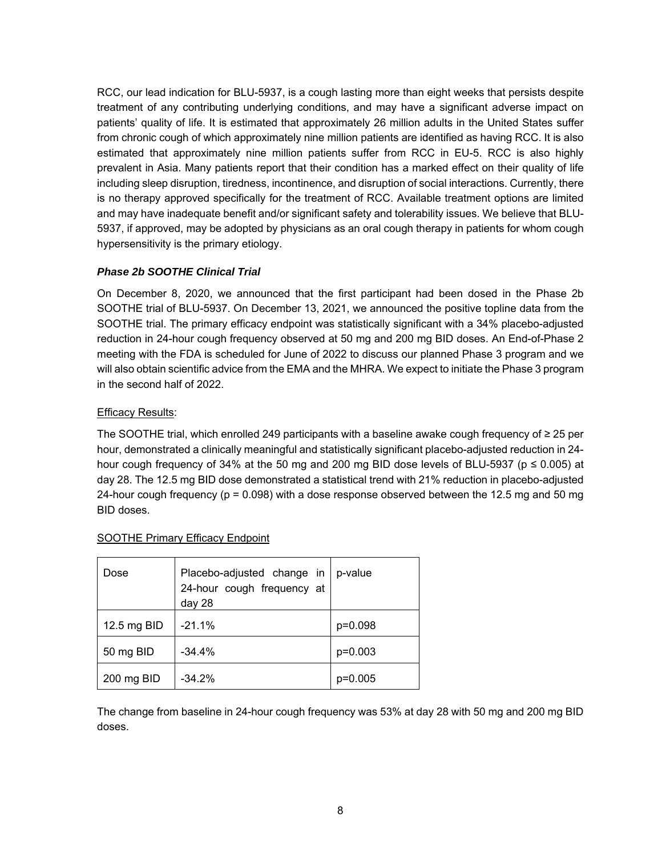RCC, our lead indication for BLU-5937, is a cough lasting more than eight weeks that persists despite treatment of any contributing underlying conditions, and may have a significant adverse impact on patients' quality of life. It is estimated that approximately 26 million adults in the United States suffer from chronic cough of which approximately nine million patients are identified as having RCC. It is also estimated that approximately nine million patients suffer from RCC in EU-5. RCC is also highly prevalent in Asia. Many patients report that their condition has a marked effect on their quality of life including sleep disruption, tiredness, incontinence, and disruption of social interactions. Currently, there is no therapy approved specifically for the treatment of RCC. Available treatment options are limited and may have inadequate benefit and/or significant safety and tolerability issues. We believe that BLU-5937, if approved, may be adopted by physicians as an oral cough therapy in patients for whom cough hypersensitivity is the primary etiology.

### *Phase 2b SOOTHE Clinical Trial*

On December 8, 2020, we announced that the first participant had been dosed in the Phase 2b SOOTHE trial of BLU-5937. On December 13, 2021, we announced the positive topline data from the SOOTHE trial. The primary efficacy endpoint was statistically significant with a 34% placebo-adjusted reduction in 24-hour cough frequency observed at 50 mg and 200 mg BID doses. An End-of-Phase 2 meeting with the FDA is scheduled for June of 2022 to discuss our planned Phase 3 program and we will also obtain scientific advice from the EMA and the MHRA. We expect to initiate the Phase 3 program in the second half of 2022.

### Efficacy Results:

The SOOTHE trial, which enrolled 249 participants with a baseline awake cough frequency of ≥ 25 per hour, demonstrated a clinically meaningful and statistically significant placebo-adjusted reduction in 24 hour cough frequency of 34% at the 50 mg and 200 mg BID dose levels of BLU-5937 (p ≤ 0.005) at day 28. The 12.5 mg BID dose demonstrated a statistical trend with 21% reduction in placebo-adjusted 24-hour cough frequency ( $p = 0.098$ ) with a dose response observed between the 12.5 mg and 50 mg BID doses.

| Dose        | Placebo-adjusted change in<br>24-hour cough frequency at<br>day 28 | p-value   |
|-------------|--------------------------------------------------------------------|-----------|
| 12.5 mg BID | $-21.1%$                                                           | p=0.098   |
| 50 mg BID   | $-34.4%$                                                           | $p=0.003$ |
| 200 mg BID  | $-34.2%$                                                           | $p=0.005$ |

### SOOTHE Primary Efficacy Endpoint

The change from baseline in 24-hour cough frequency was 53% at day 28 with 50 mg and 200 mg BID doses.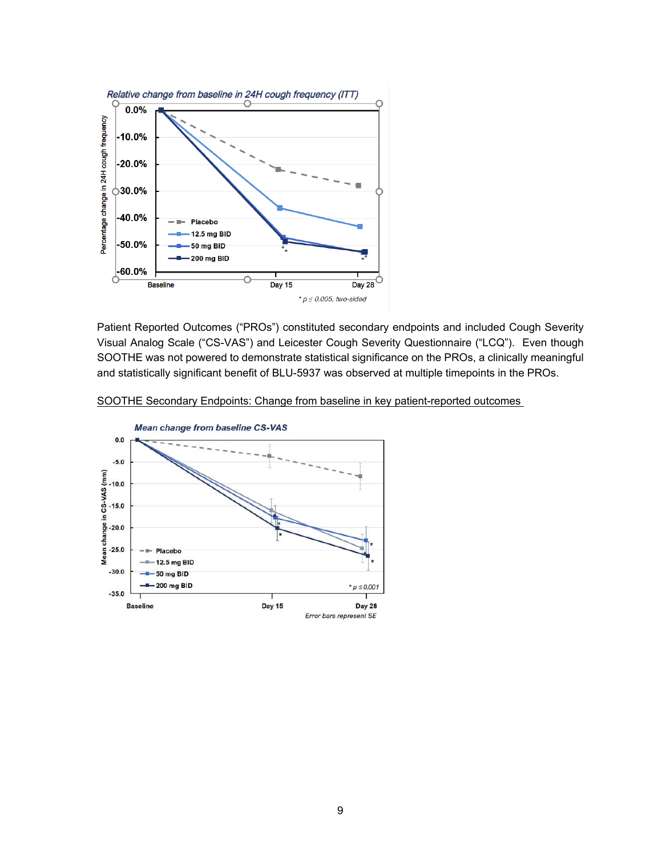

Patient Reported Outcomes ("PROs") constituted secondary endpoints and included Cough Severity Visual Analog Scale ("CS-VAS") and Leicester Cough Severity Questionnaire ("LCQ"). Even though SOOTHE was not powered to demonstrate statistical significance on the PROs, a clinically meaningful and statistically significant benefit of BLU-5937 was observed at multiple timepoints in the PROs.

SOOTHE Secondary Endpoints: Change from baseline in key patient-reported outcomes

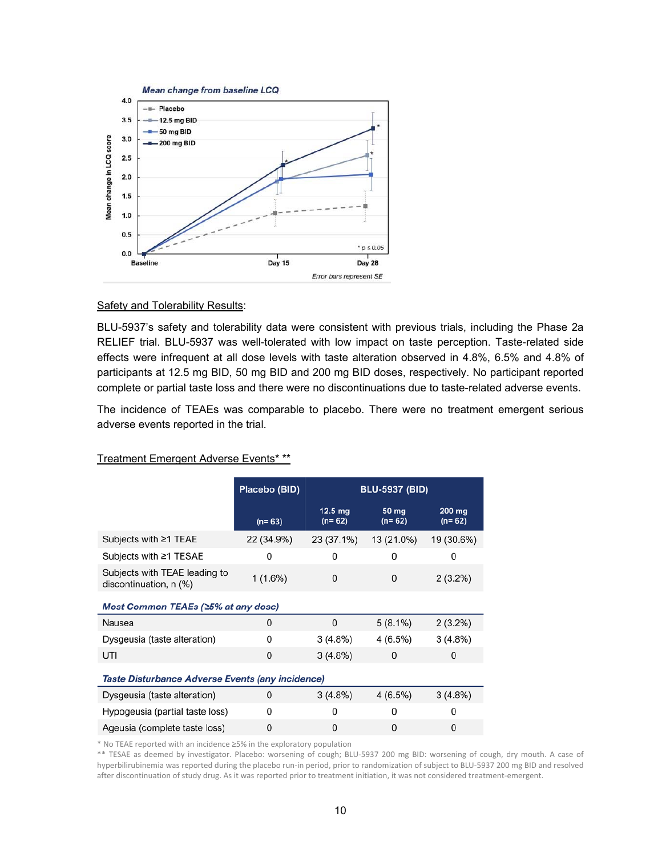

#### **Safety and Tolerability Results:**

BLU-5937's safety and tolerability data were consistent with previous trials, including the Phase 2a RELIEF trial. BLU-5937 was well-tolerated with low impact on taste perception. Taste-related side effects were infrequent at all dose levels with taste alteration observed in 4.8%, 6.5% and 4.8% of participants at 12.5 mg BID, 50 mg BID and 200 mg BID doses, respectively. No participant reported complete or partial taste loss and there were no discontinuations due to taste-related adverse events.

The incidence of TEAEs was comparable to placebo. There were no treatment emergent serious adverse events reported in the trial.

|                                                         | Placebo (BID) | <b>BLU-5937 (BID)</b>         |                     |                    |  |  |
|---------------------------------------------------------|---------------|-------------------------------|---------------------|--------------------|--|--|
|                                                         | $(n=63)$      | $12.5 \text{ mg}$<br>$(n=62)$ | $50$ mg<br>$(n=62)$ | 200 mg<br>$(n=62)$ |  |  |
| Subjects with $\geq$ 1 TEAE                             | 22 (34.9%)    | 23 (37.1%)                    | 13 (21.0%)          | 19 (30.6%)         |  |  |
| Subjects with ≥1 TESAE                                  | 0             | 0                             | 0                   | 0                  |  |  |
| Subjects with TEAE leading to<br>discontinuation, n (%) | 1(1.6%)       | 0                             | 0                   | 2(3.2%)            |  |  |
| Most Common TEAEs (≥5% at any dose)                     |               |                               |                     |                    |  |  |
| Nausea                                                  | 0             | $\mathbf 0$                   | $5(8.1\%)$          | $2(3.2\%)$         |  |  |
| Dysgeusia (taste alteration)                            | 0             | 3(4.8%)                       | 4 (6.5%)            | 3(4.8%)            |  |  |
| UTI                                                     | $\mathbf{0}$  | 3(4.8%)                       | 0                   | 0                  |  |  |
| Taste Disturbance Adverse Events (any incidence)        |               |                               |                     |                    |  |  |
| Dysgeusia (taste alteration)                            | 0             | 3(4.8%)                       | 4(6.5%)             | 3(4.8%)            |  |  |
| Hypogeusia (partial taste loss)                         | 0             | 0                             | 0                   | 0                  |  |  |
| Ageusia (complete taste loss)                           | $\Omega$      | $\Omega$                      | 0                   | 0                  |  |  |

#### Treatment Emergent Adverse Events\* \*\*

\* No TEAE reported with an incidence ≥5% in the exploratory population

\*\* TESAE as deemed by investigator. Placebo: worsening of cough; BLU-5937 200 mg BID: worsening of cough, dry mouth. A case of hyperbilirubinemia was reported during the placebo run‐in period, prior to randomization of subject to BLU‐5937 200 mg BID and resolved after discontinuation of study drug. As it was reported prior to treatment initiation, it was not considered treatment‐emergent.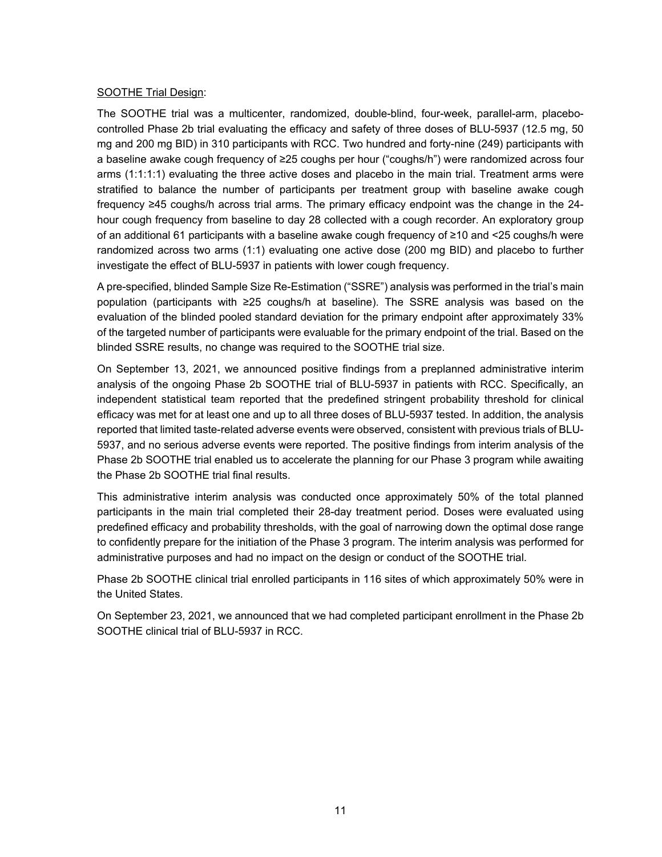### SOOTHE Trial Design:

The SOOTHE trial was a multicenter, randomized, double-blind, four-week, parallel-arm, placebocontrolled Phase 2b trial evaluating the efficacy and safety of three doses of BLU-5937 (12.5 mg, 50 mg and 200 mg BID) in 310 participants with RCC. Two hundred and forty-nine (249) participants with a baseline awake cough frequency of ≥25 coughs per hour ("coughs/h") were randomized across four arms (1:1:1:1) evaluating the three active doses and placebo in the main trial. Treatment arms were stratified to balance the number of participants per treatment group with baseline awake cough frequency ≥45 coughs/h across trial arms. The primary efficacy endpoint was the change in the 24 hour cough frequency from baseline to day 28 collected with a cough recorder. An exploratory group of an additional 61 participants with a baseline awake cough frequency of ≥10 and <25 coughs/h were randomized across two arms (1:1) evaluating one active dose (200 mg BID) and placebo to further investigate the effect of BLU-5937 in patients with lower cough frequency.

A pre-specified, blinded Sample Size Re-Estimation ("SSRE") analysis was performed in the trial's main population (participants with ≥25 coughs/h at baseline). The SSRE analysis was based on the evaluation of the blinded pooled standard deviation for the primary endpoint after approximately 33% of the targeted number of participants were evaluable for the primary endpoint of the trial. Based on the blinded SSRE results, no change was required to the SOOTHE trial size.

On September 13, 2021, we announced positive findings from a preplanned administrative interim analysis of the ongoing Phase 2b SOOTHE trial of BLU-5937 in patients with RCC. Specifically, an independent statistical team reported that the predefined stringent probability threshold for clinical efficacy was met for at least one and up to all three doses of BLU-5937 tested. In addition, the analysis reported that limited taste-related adverse events were observed, consistent with previous trials of BLU-5937, and no serious adverse events were reported. The positive findings from interim analysis of the Phase 2b SOOTHE trial enabled us to accelerate the planning for our Phase 3 program while awaiting the Phase 2b SOOTHE trial final results.

This administrative interim analysis was conducted once approximately 50% of the total planned participants in the main trial completed their 28-day treatment period. Doses were evaluated using predefined efficacy and probability thresholds, with the goal of narrowing down the optimal dose range to confidently prepare for the initiation of the Phase 3 program. The interim analysis was performed for administrative purposes and had no impact on the design or conduct of the SOOTHE trial.

Phase 2b SOOTHE clinical trial enrolled participants in 116 sites of which approximately 50% were in the United States.

On September 23, 2021, we announced that we had completed participant enrollment in the Phase 2b SOOTHE clinical trial of BLU-5937 in RCC.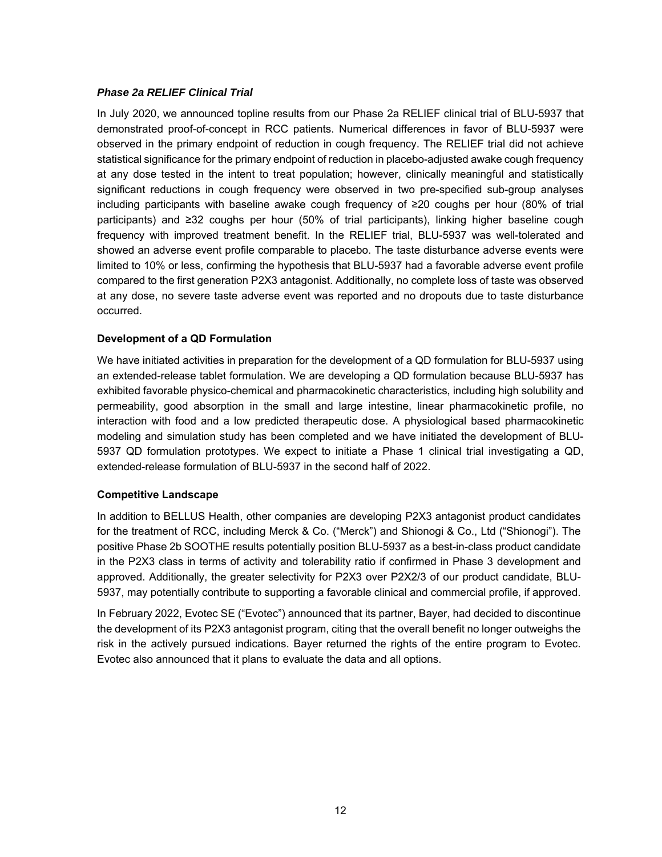### *Phase 2a RELIEF Clinical Trial*

In July 2020, we announced topline results from our Phase 2a RELIEF clinical trial of BLU-5937 that demonstrated proof-of-concept in RCC patients. Numerical differences in favor of BLU-5937 were observed in the primary endpoint of reduction in cough frequency. The RELIEF trial did not achieve statistical significance for the primary endpoint of reduction in placebo-adjusted awake cough frequency at any dose tested in the intent to treat population; however, clinically meaningful and statistically significant reductions in cough frequency were observed in two pre-specified sub-group analyses including participants with baseline awake cough frequency of ≥20 coughs per hour (80% of trial participants) and ≥32 coughs per hour (50% of trial participants), linking higher baseline cough frequency with improved treatment benefit. In the RELIEF trial, BLU-5937 was well-tolerated and showed an adverse event profile comparable to placebo. The taste disturbance adverse events were limited to 10% or less, confirming the hypothesis that BLU-5937 had a favorable adverse event profile compared to the first generation P2X3 antagonist. Additionally, no complete loss of taste was observed at any dose, no severe taste adverse event was reported and no dropouts due to taste disturbance occurred.

### **Development of a QD Formulation**

We have initiated activities in preparation for the development of a QD formulation for BLU-5937 using an extended-release tablet formulation. We are developing a QD formulation because BLU-5937 has exhibited favorable physico-chemical and pharmacokinetic characteristics, including high solubility and permeability, good absorption in the small and large intestine, linear pharmacokinetic profile, no interaction with food and a low predicted therapeutic dose. A physiological based pharmacokinetic modeling and simulation study has been completed and we have initiated the development of BLU-5937 QD formulation prototypes. We expect to initiate a Phase 1 clinical trial investigating a QD, extended-release formulation of BLU-5937 in the second half of 2022.

### **Competitive Landscape**

In addition to BELLUS Health, other companies are developing P2X3 antagonist product candidates for the treatment of RCC, including Merck & Co. ("Merck") and Shionogi & Co., Ltd ("Shionogi"). The positive Phase 2b SOOTHE results potentially position BLU-5937 as a best-in-class product candidate in the P2X3 class in terms of activity and tolerability ratio if confirmed in Phase 3 development and approved. Additionally, the greater selectivity for P2X3 over P2X2/3 of our product candidate, BLU-5937, may potentially contribute to supporting a favorable clinical and commercial profile, if approved.

In February 2022, Evotec SE ("Evotec") announced that its partner, Bayer, had decided to discontinue the development of its P2X3 antagonist program, citing that the overall benefit no longer outweighs the risk in the actively pursued indications. Bayer returned the rights of the entire program to Evotec. Evotec also announced that it plans to evaluate the data and all options.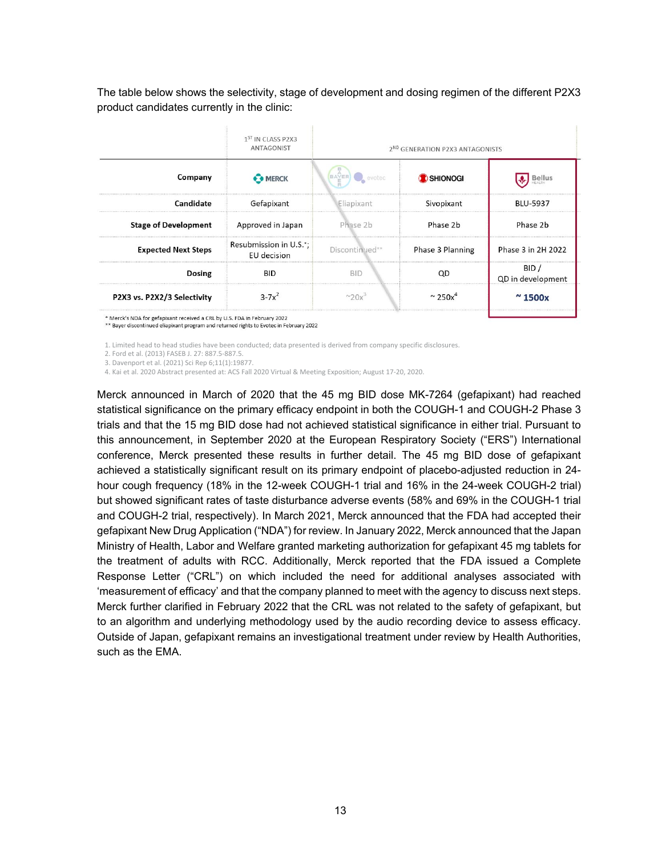The table below shows the selectivity, stage of development and dosing regimen of the different P2X3 product candidates currently in the clinic:

| 1 <sup>ST</sup> IN CLASS P2X3<br>ANTAGONIST |                |                             |                                             |
|---------------------------------------------|----------------|-----------------------------|---------------------------------------------|
| BAYER evotec<br>Company<br><b>SHIONOGI</b>  |                |                             |                                             |
| Gefapixant                                  | Eliapixant     | Sivopixant                  | <b>BLU-5937</b>                             |
| Approved in Japan                           | Phase 2b       | Phase 2b                    | Phase 2b                                    |
| Resubmission in U.S.*;<br>EU decision       | Discontinued** | Phase 3 Planning            | Phase 3 in 2H 2022                          |
| <b>BID</b>                                  | <b>BID</b>     |                             | QD in development                           |
| $3 - 7x^2$                                  |                | $\sim$ 250 $v$ <sup>4</sup> |                                             |
|                                             |                |                             | 2 <sup>ND</sup> GENERATION P2X3 ANTAGONISTS |

Merck's NDA for gefapixant received a CRL by U.S. FDA in February 2022

\*\* Bayer discontinued eliapixant program and returned rights to Evotec in February 2022

1. Limited head to head studies have been conducted; data presented is derived from company specific disclosures.

2. Ford et al. (2013) FASEB J. 27: 887.5‐887.5.

3. Davenport et al. (2021) Sci Rep 6;11(1):19877.

4. Kai et al. 2020 Abstract presented at: ACS Fall 2020 Virtual & Meeting Exposition; August 17‐20, 2020.

Merck announced in March of 2020 that the 45 mg BID dose MK-7264 (gefapixant) had reached statistical significance on the primary efficacy endpoint in both the COUGH-1 and COUGH-2 Phase 3 trials and that the 15 mg BID dose had not achieved statistical significance in either trial. Pursuant to this announcement, in September 2020 at the European Respiratory Society ("ERS") International conference, Merck presented these results in further detail. The 45 mg BID dose of gefapixant achieved a statistically significant result on its primary endpoint of placebo-adjusted reduction in 24 hour cough frequency (18% in the 12-week COUGH-1 trial and 16% in the 24-week COUGH-2 trial) but showed significant rates of taste disturbance adverse events (58% and 69% in the COUGH-1 trial and COUGH-2 trial, respectively). In March 2021, Merck announced that the FDA had accepted their gefapixant New Drug Application ("NDA") for review. In January 2022, Merck announced that the Japan Ministry of Health, Labor and Welfare granted marketing authorization for gefapixant 45 mg tablets for the treatment of adults with RCC. Additionally, Merck reported that the FDA issued a Complete Response Letter ("CRL") on which included the need for additional analyses associated with 'measurement of efficacy' and that the company planned to meet with the agency to discuss next steps. Merck further clarified in February 2022 that the CRL was not related to the safety of gefapixant, but to an algorithm and underlying methodology used by the audio recording device to assess efficacy. Outside of Japan, gefapixant remains an investigational treatment under review by Health Authorities, such as the EMA.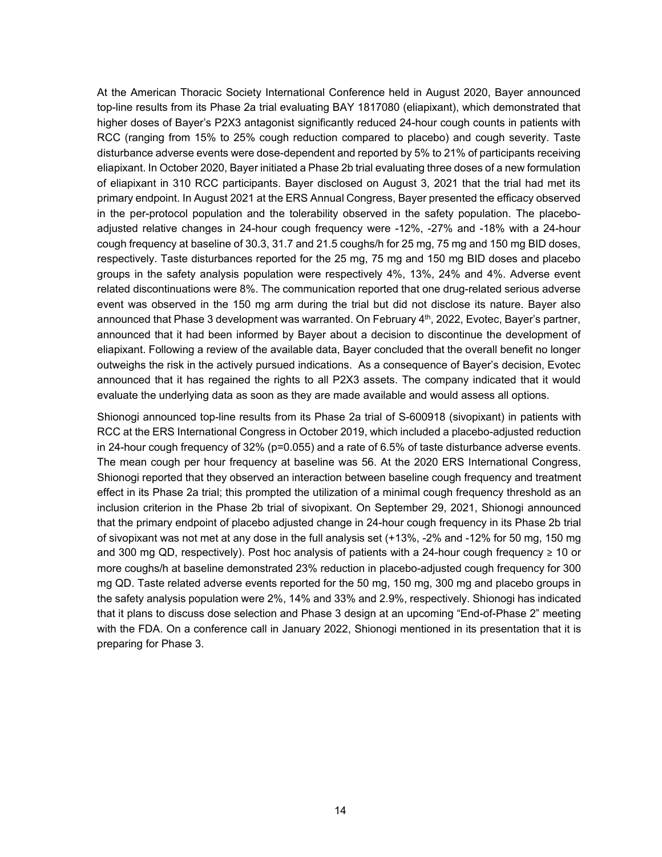At the American Thoracic Society International Conference held in August 2020, Bayer announced top-line results from its Phase 2a trial evaluating BAY 1817080 (eliapixant), which demonstrated that higher doses of Bayer's P2X3 antagonist significantly reduced 24-hour cough counts in patients with RCC (ranging from 15% to 25% cough reduction compared to placebo) and cough severity. Taste disturbance adverse events were dose-dependent and reported by 5% to 21% of participants receiving eliapixant. In October 2020, Bayer initiated a Phase 2b trial evaluating three doses of a new formulation of eliapixant in 310 RCC participants. Bayer disclosed on August 3, 2021 that the trial had met its primary endpoint. In August 2021 at the ERS Annual Congress, Bayer presented the efficacy observed in the per-protocol population and the tolerability observed in the safety population. The placeboadjusted relative changes in 24-hour cough frequency were -12%, -27% and -18% with a 24-hour cough frequency at baseline of 30.3, 31.7 and 21.5 coughs/h for 25 mg, 75 mg and 150 mg BID doses, respectively. Taste disturbances reported for the 25 mg, 75 mg and 150 mg BID doses and placebo groups in the safety analysis population were respectively 4%, 13%, 24% and 4%. Adverse event related discontinuations were 8%. The communication reported that one drug-related serious adverse event was observed in the 150 mg arm during the trial but did not disclose its nature. Bayer also announced that Phase 3 development was warranted. On February  $4<sup>th</sup>$ , 2022, Evotec, Bayer's partner, announced that it had been informed by Bayer about a decision to discontinue the development of eliapixant. Following a review of the available data, Bayer concluded that the overall benefit no longer outweighs the risk in the actively pursued indications. As a consequence of Bayer's decision, Evotec announced that it has regained the rights to all P2X3 assets. The company indicated that it would evaluate the underlying data as soon as they are made available and would assess all options.

Shionogi announced top-line results from its Phase 2a trial of S-600918 (sivopixant) in patients with RCC at the ERS International Congress in October 2019, which included a placebo-adjusted reduction in 24-hour cough frequency of 32% (p=0.055) and a rate of 6.5% of taste disturbance adverse events. The mean cough per hour frequency at baseline was 56. At the 2020 ERS International Congress, Shionogi reported that they observed an interaction between baseline cough frequency and treatment effect in its Phase 2a trial; this prompted the utilization of a minimal cough frequency threshold as an inclusion criterion in the Phase 2b trial of sivopixant. On September 29, 2021, Shionogi announced that the primary endpoint of placebo adjusted change in 24-hour cough frequency in its Phase 2b trial of sivopixant was not met at any dose in the full analysis set (+13%, -2% and -12% for 50 mg, 150 mg and 300 mg QD, respectively). Post hoc analysis of patients with a 24-hour cough frequency ≥ 10 or more coughs/h at baseline demonstrated 23% reduction in placebo-adjusted cough frequency for 300 mg QD. Taste related adverse events reported for the 50 mg, 150 mg, 300 mg and placebo groups in the safety analysis population were 2%, 14% and 33% and 2.9%, respectively. Shionogi has indicated that it plans to discuss dose selection and Phase 3 design at an upcoming "End-of-Phase 2" meeting with the FDA. On a conference call in January 2022, Shionogi mentioned in its presentation that it is preparing for Phase 3.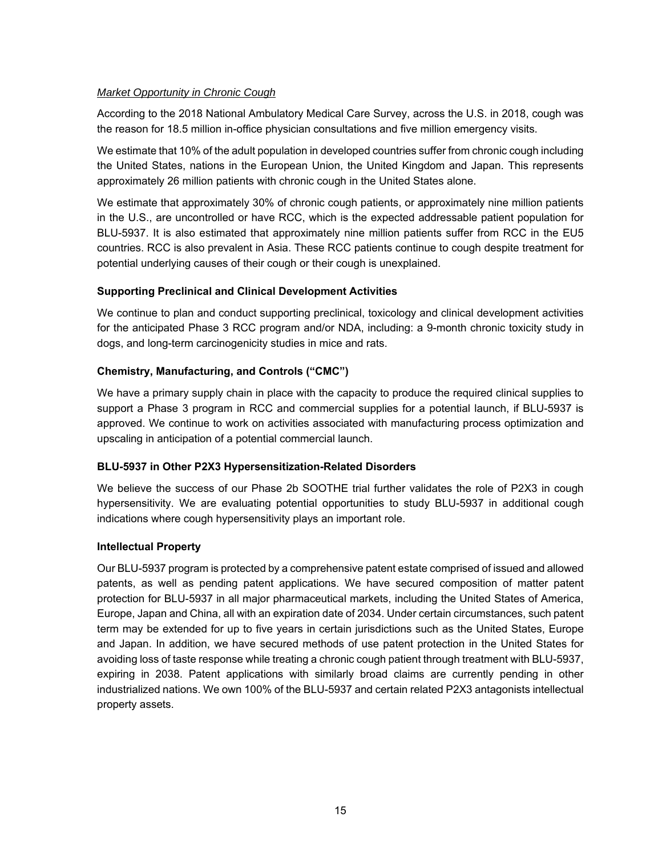### *Market Opportunity in Chronic Cough*

According to the 2018 National Ambulatory Medical Care Survey, across the U.S. in 2018, cough was the reason for 18.5 million in-office physician consultations and five million emergency visits.

We estimate that 10% of the adult population in developed countries suffer from chronic cough including the United States, nations in the European Union, the United Kingdom and Japan. This represents approximately 26 million patients with chronic cough in the United States alone.

We estimate that approximately 30% of chronic cough patients, or approximately nine million patients in the U.S., are uncontrolled or have RCC, which is the expected addressable patient population for BLU-5937. It is also estimated that approximately nine million patients suffer from RCC in the EU5 countries. RCC is also prevalent in Asia. These RCC patients continue to cough despite treatment for potential underlying causes of their cough or their cough is unexplained.

## **Supporting Preclinical and Clinical Development Activities**

We continue to plan and conduct supporting preclinical, toxicology and clinical development activities for the anticipated Phase 3 RCC program and/or NDA, including: a 9-month chronic toxicity study in dogs, and long-term carcinogenicity studies in mice and rats.

### **Chemistry, Manufacturing, and Controls ("CMC")**

We have a primary supply chain in place with the capacity to produce the required clinical supplies to support a Phase 3 program in RCC and commercial supplies for a potential launch, if BLU-5937 is approved. We continue to work on activities associated with manufacturing process optimization and upscaling in anticipation of a potential commercial launch.

## **BLU-5937 in Other P2X3 Hypersensitization-Related Disorders**

We believe the success of our Phase 2b SOOTHE trial further validates the role of P2X3 in cough hypersensitivity. We are evaluating potential opportunities to study BLU-5937 in additional cough indications where cough hypersensitivity plays an important role.

### **Intellectual Property**

Our BLU-5937 program is protected by a comprehensive patent estate comprised of issued and allowed patents, as well as pending patent applications. We have secured composition of matter patent protection for BLU-5937 in all major pharmaceutical markets, including the United States of America, Europe, Japan and China, all with an expiration date of 2034. Under certain circumstances, such patent term may be extended for up to five years in certain jurisdictions such as the United States, Europe and Japan. In addition, we have secured methods of use patent protection in the United States for avoiding loss of taste response while treating a chronic cough patient through treatment with BLU-5937, expiring in 2038. Patent applications with similarly broad claims are currently pending in other industrialized nations. We own 100% of the BLU-5937 and certain related P2X3 antagonists intellectual property assets.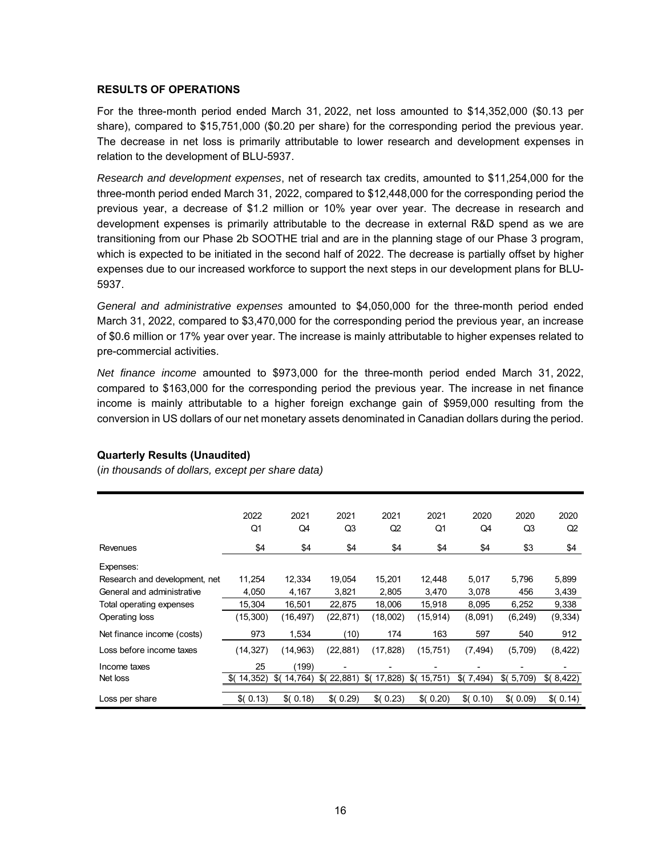### **RESULTS OF OPERATIONS**

For the three-month period ended March 31, 2022, net loss amounted to \$14,352,000 (\$0.13 per share), compared to \$15,751,000 (\$0.20 per share) for the corresponding period the previous year. The decrease in net loss is primarily attributable to lower research and development expenses in relation to the development of BLU-5937.

*Research and development expenses*, net of research tax credits, amounted to \$11,254,000 for the three-month period ended March 31, 2022, compared to \$12,448,000 for the corresponding period the previous year, a decrease of \$1.2 million or 10% year over year. The decrease in research and development expenses is primarily attributable to the decrease in external R&D spend as we are transitioning from our Phase 2b SOOTHE trial and are in the planning stage of our Phase 3 program, which is expected to be initiated in the second half of 2022. The decrease is partially offset by higher expenses due to our increased workforce to support the next steps in our development plans for BLU-5937.

*General and administrative expenses* amounted to \$4,050,000 for the three-month period ended March 31, 2022, compared to \$3,470,000 for the corresponding period the previous year, an increase of \$0.6 million or 17% year over year. The increase is mainly attributable to higher expenses related to pre-commercial activities.

*Net finance income* amounted to \$973,000 for the three-month period ended March 31, 2022, compared to \$163,000 for the corresponding period the previous year. The increase in net finance income is mainly attributable to a higher foreign exchange gain of \$959,000 resulting from the conversion in US dollars of our net monetary assets denominated in Canadian dollars during the period.

|                               | 2022      | 2021           | 2021           | 2021           | 2021         | 2020          | 2020              | 2020      |
|-------------------------------|-----------|----------------|----------------|----------------|--------------|---------------|-------------------|-----------|
|                               | Q1        | Q4             | Q <sub>3</sub> | Q2             | Q1           | Q4            | Q3                | Q2        |
| Revenues                      | \$4       | \$4            | \$4            | \$4            | \$4          | \$4           | \$3               | \$4       |
| Expenses:                     |           |                |                |                |              |               |                   |           |
| Research and development, net | 11,254    | 12,334         | 19,054         | 15.201         | 12,448       | 5,017         | 5,796             | 5,899     |
| General and administrative    | 4,050     | 4,167          | 3,821          | 2,805          | 3,470        | 3,078         | 456               | 3,439     |
| Total operating expenses      | 15,304    | 16,501         | 22,875         | 18,006         | 15,918       | 8,095         | 6,252             | 9,338     |
| Operating loss                | (15, 300) | (16,497)       | (22, 871)      | (18,002)       | (15, 914)    | (8,091)       | (6, 249)          | (9, 334)  |
| Net finance income (costs)    | 973       | 1,534          | (10)           | 174            | 163          | 597           | 540               | 912       |
| Loss before income taxes      | (14, 327) | (14, 963)      | (22, 881)      | (17, 828)      | (15, 751)    | (7, 494)      | (5,709)           | (8, 422)  |
| Income taxes                  | 25        | (199)          |                |                |              |               |                   |           |
| Net loss                      | (14, 352) | 14,764)<br>\$( | \$(<br>22,881  | \$(<br>17,828) | \$<br>15,751 | \$(<br>7,494) | $\sqrt{$(5,709)}$ | \$(8,422) |
|                               |           |                |                |                |              |               |                   |           |
| Loss per share                | \$(0.13)  | \$(0.18)       | \$(0.29)       | \$(0.23)       | (0.20)       | \$(0.10)      | \$(0.09)          | \$(0.14)  |

### **Quarterly Results (Unaudited)**

(*in thousands of dollars, except per share data)*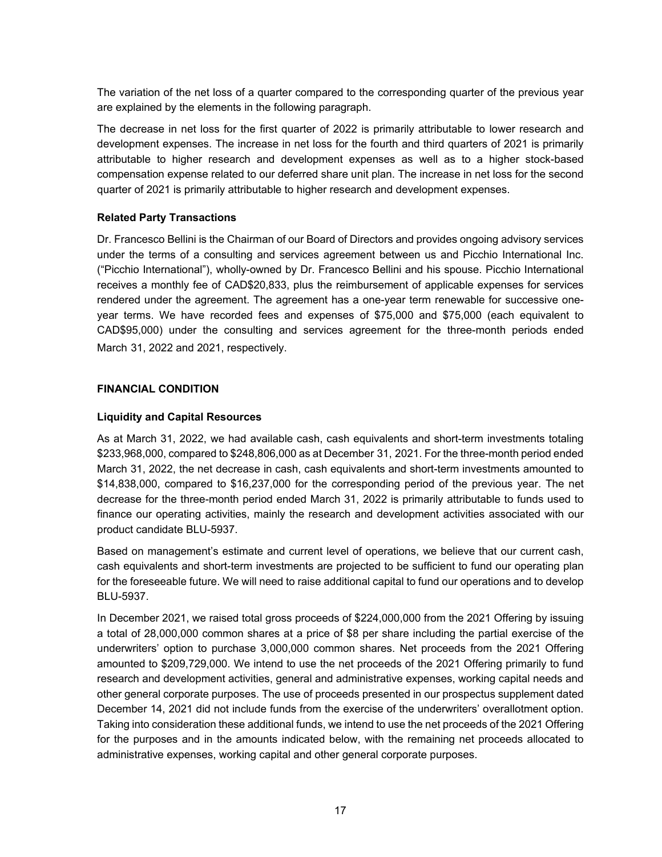The variation of the net loss of a quarter compared to the corresponding quarter of the previous year are explained by the elements in the following paragraph.

The decrease in net loss for the first quarter of 2022 is primarily attributable to lower research and development expenses. The increase in net loss for the fourth and third quarters of 2021 is primarily attributable to higher research and development expenses as well as to a higher stock-based compensation expense related to our deferred share unit plan. The increase in net loss for the second quarter of 2021 is primarily attributable to higher research and development expenses.

### **Related Party Transactions**

Dr. Francesco Bellini is the Chairman of our Board of Directors and provides ongoing advisory services under the terms of a consulting and services agreement between us and Picchio International Inc. ("Picchio International"), wholly-owned by Dr. Francesco Bellini and his spouse. Picchio International receives a monthly fee of CAD\$20,833, plus the reimbursement of applicable expenses for services rendered under the agreement. The agreement has a one-year term renewable for successive oneyear terms. We have recorded fees and expenses of \$75,000 and \$75,000 (each equivalent to CAD\$95,000) under the consulting and services agreement for the three-month periods ended March 31, 2022 and 2021, respectively.

### **FINANCIAL CONDITION**

### **Liquidity and Capital Resources**

As at March 31, 2022, we had available cash, cash equivalents and short-term investments totaling \$233,968,000, compared to \$248,806,000 as at December 31, 2021. For the three-month period ended March 31, 2022, the net decrease in cash, cash equivalents and short-term investments amounted to \$14,838,000, compared to \$16,237,000 for the corresponding period of the previous year. The net decrease for the three-month period ended March 31, 2022 is primarily attributable to funds used to finance our operating activities, mainly the research and development activities associated with our product candidate BLU-5937.

Based on management's estimate and current level of operations, we believe that our current cash, cash equivalents and short-term investments are projected to be sufficient to fund our operating plan for the foreseeable future. We will need to raise additional capital to fund our operations and to develop BLU-5937.

In December 2021, we raised total gross proceeds of \$224,000,000 from the 2021 Offering by issuing a total of 28,000,000 common shares at a price of \$8 per share including the partial exercise of the underwriters' option to purchase 3,000,000 common shares. Net proceeds from the 2021 Offering amounted to \$209,729,000. We intend to use the net proceeds of the 2021 Offering primarily to fund research and development activities, general and administrative expenses, working capital needs and other general corporate purposes. The use of proceeds presented in our prospectus supplement dated December 14, 2021 did not include funds from the exercise of the underwriters' overallotment option. Taking into consideration these additional funds, we intend to use the net proceeds of the 2021 Offering for the purposes and in the amounts indicated below, with the remaining net proceeds allocated to administrative expenses, working capital and other general corporate purposes.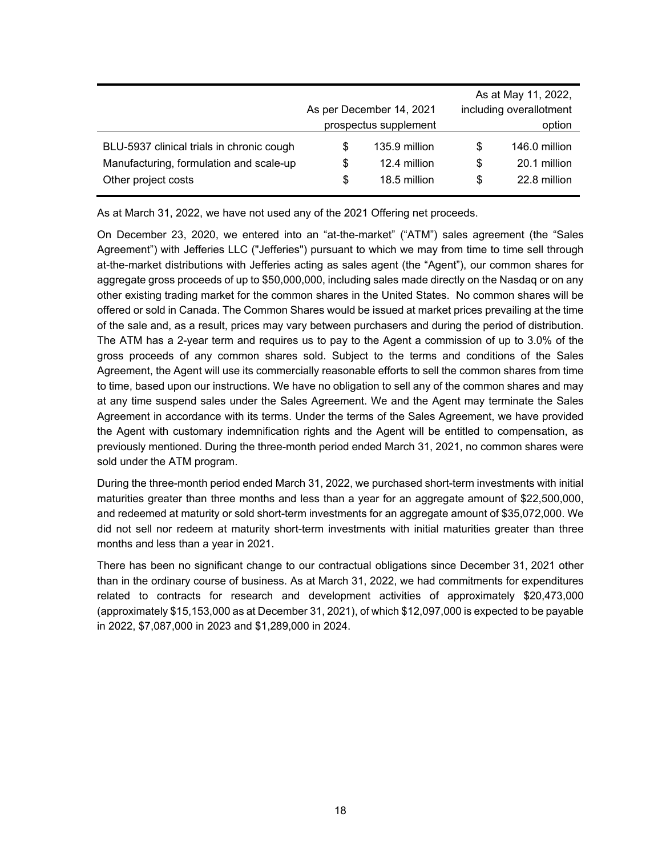|                                                                                      |         | As per December 14, 2021<br>prospectus supplement | As at May 11, 2022,<br>including overallotment<br>option |                               |  |  |  |
|--------------------------------------------------------------------------------------|---------|---------------------------------------------------|----------------------------------------------------------|-------------------------------|--|--|--|
| BLU-5937 clinical trials in chronic cough<br>Manufacturing, formulation and scale-up | S<br>\$ | 135.9 million<br>12.4 million                     | S<br>\$                                                  | 146.0 million<br>20.1 million |  |  |  |
| Other project costs                                                                  | \$      | 18.5 million                                      | \$                                                       | 22.8 million                  |  |  |  |

As at March 31, 2022, we have not used any of the 2021 Offering net proceeds.

On December 23, 2020, we entered into an "at-the-market" ("ATM") sales agreement (the "Sales Agreement") with Jefferies LLC ("Jefferies") pursuant to which we may from time to time sell through at-the-market distributions with Jefferies acting as sales agent (the "Agent"), our common shares for aggregate gross proceeds of up to \$50,000,000, including sales made directly on the Nasdaq or on any other existing trading market for the common shares in the United States. No common shares will be offered or sold in Canada. The Common Shares would be issued at market prices prevailing at the time of the sale and, as a result, prices may vary between purchasers and during the period of distribution. The ATM has a 2-year term and requires us to pay to the Agent a commission of up to 3.0% of the gross proceeds of any common shares sold. Subject to the terms and conditions of the Sales Agreement, the Agent will use its commercially reasonable efforts to sell the common shares from time to time, based upon our instructions. We have no obligation to sell any of the common shares and may at any time suspend sales under the Sales Agreement. We and the Agent may terminate the Sales Agreement in accordance with its terms. Under the terms of the Sales Agreement, we have provided the Agent with customary indemnification rights and the Agent will be entitled to compensation, as previously mentioned. During the three-month period ended March 31, 2021, no common shares were sold under the ATM program.

During the three-month period ended March 31, 2022, we purchased short-term investments with initial maturities greater than three months and less than a year for an aggregate amount of \$22,500,000, and redeemed at maturity or sold short-term investments for an aggregate amount of \$35,072,000. We did not sell nor redeem at maturity short-term investments with initial maturities greater than three months and less than a year in 2021.

There has been no significant change to our contractual obligations since December 31, 2021 other than in the ordinary course of business. As at March 31, 2022, we had commitments for expenditures related to contracts for research and development activities of approximately \$20,473,000 (approximately \$15,153,000 as at December 31, 2021), of which \$12,097,000 is expected to be payable in 2022, \$7,087,000 in 2023 and \$1,289,000 in 2024.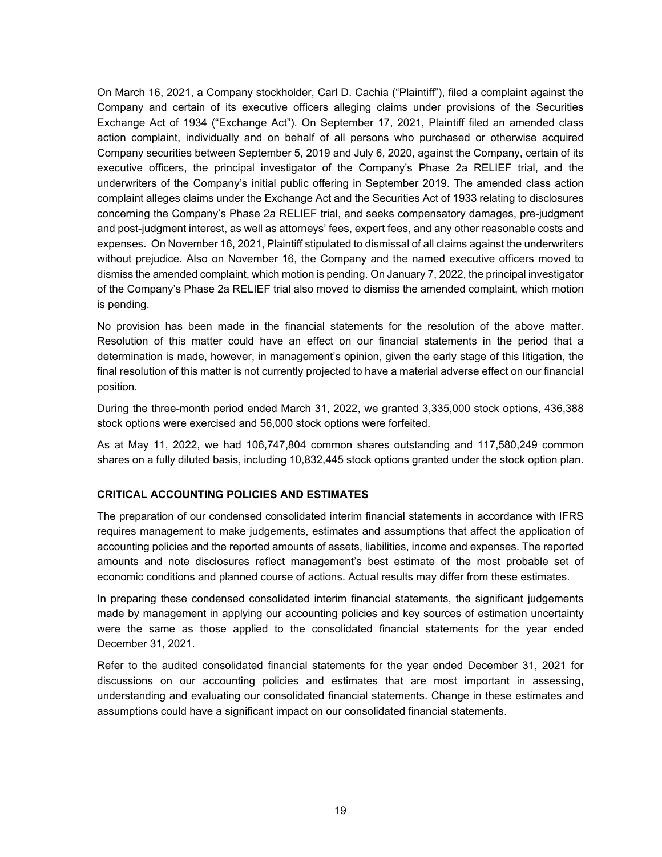On March 16, 2021, a Company stockholder, Carl D. Cachia ("Plaintiff"), filed a complaint against the Company and certain of its executive officers alleging claims under provisions of the Securities Exchange Act of 1934 ("Exchange Act"). On September 17, 2021, Plaintiff filed an amended class action complaint, individually and on behalf of all persons who purchased or otherwise acquired Company securities between September 5, 2019 and July 6, 2020, against the Company, certain of its executive officers, the principal investigator of the Company's Phase 2a RELIEF trial, and the underwriters of the Company's initial public offering in September 2019. The amended class action complaint alleges claims under the Exchange Act and the Securities Act of 1933 relating to disclosures concerning the Company's Phase 2a RELIEF trial, and seeks compensatory damages, pre-judgment and post-judgment interest, as well as attorneys' fees, expert fees, and any other reasonable costs and expenses. On November 16, 2021, Plaintiff stipulated to dismissal of all claims against the underwriters without prejudice. Also on November 16, the Company and the named executive officers moved to dismiss the amended complaint, which motion is pending. On January 7, 2022, the principal investigator of the Company's Phase 2a RELIEF trial also moved to dismiss the amended complaint, which motion is pending.

No provision has been made in the financial statements for the resolution of the above matter. Resolution of this matter could have an effect on our financial statements in the period that a determination is made, however, in management's opinion, given the early stage of this litigation, the final resolution of this matter is not currently projected to have a material adverse effect on our financial position.

During the three-month period ended March 31, 2022, we granted 3,335,000 stock options, 436,388 stock options were exercised and 56,000 stock options were forfeited.

As at May 11, 2022, we had 106,747,804 common shares outstanding and 117,580,249 common shares on a fully diluted basis, including 10,832,445 stock options granted under the stock option plan.

### **CRITICAL ACCOUNTING POLICIES AND ESTIMATES**

The preparation of our condensed consolidated interim financial statements in accordance with IFRS requires management to make judgements, estimates and assumptions that affect the application of accounting policies and the reported amounts of assets, liabilities, income and expenses. The reported amounts and note disclosures reflect management's best estimate of the most probable set of economic conditions and planned course of actions. Actual results may differ from these estimates.

In preparing these condensed consolidated interim financial statements, the significant judgements made by management in applying our accounting policies and key sources of estimation uncertainty were the same as those applied to the consolidated financial statements for the year ended December 31, 2021.

Refer to the audited consolidated financial statements for the year ended December 31, 2021 for discussions on our accounting policies and estimates that are most important in assessing, understanding and evaluating our consolidated financial statements. Change in these estimates and assumptions could have a significant impact on our consolidated financial statements.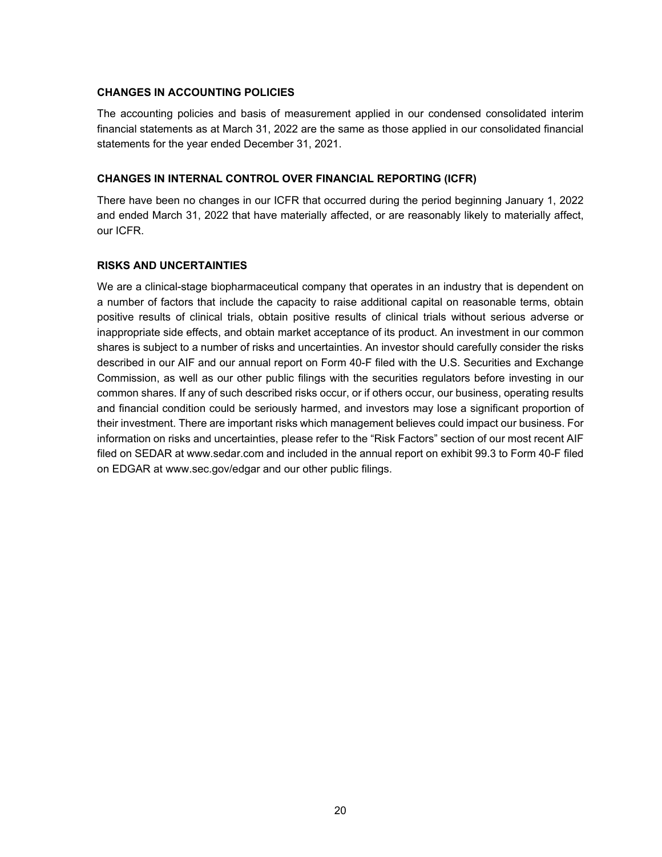### **CHANGES IN ACCOUNTING POLICIES**

The accounting policies and basis of measurement applied in our condensed consolidated interim financial statements as at March 31, 2022 are the same as those applied in our consolidated financial statements for the year ended December 31, 2021.

### **CHANGES IN INTERNAL CONTROL OVER FINANCIAL REPORTING (ICFR)**

There have been no changes in our ICFR that occurred during the period beginning January 1, 2022 and ended March 31, 2022 that have materially affected, or are reasonably likely to materially affect, our ICFR.

### **RISKS AND UNCERTAINTIES**

We are a clinical-stage biopharmaceutical company that operates in an industry that is dependent on a number of factors that include the capacity to raise additional capital on reasonable terms, obtain positive results of clinical trials, obtain positive results of clinical trials without serious adverse or inappropriate side effects, and obtain market acceptance of its product. An investment in our common shares is subject to a number of risks and uncertainties. An investor should carefully consider the risks described in our AIF and our annual report on Form 40-F filed with the U.S. Securities and Exchange Commission, as well as our other public filings with the securities regulators before investing in our common shares. If any of such described risks occur, or if others occur, our business, operating results and financial condition could be seriously harmed, and investors may lose a significant proportion of their investment. There are important risks which management believes could impact our business. For information on risks and uncertainties, please refer to the "Risk Factors" section of our most recent AIF filed on SEDAR at www.sedar.com and included in the annual report on exhibit 99.3 to Form 40-F filed on EDGAR at www.sec.gov/edgar and our other public filings.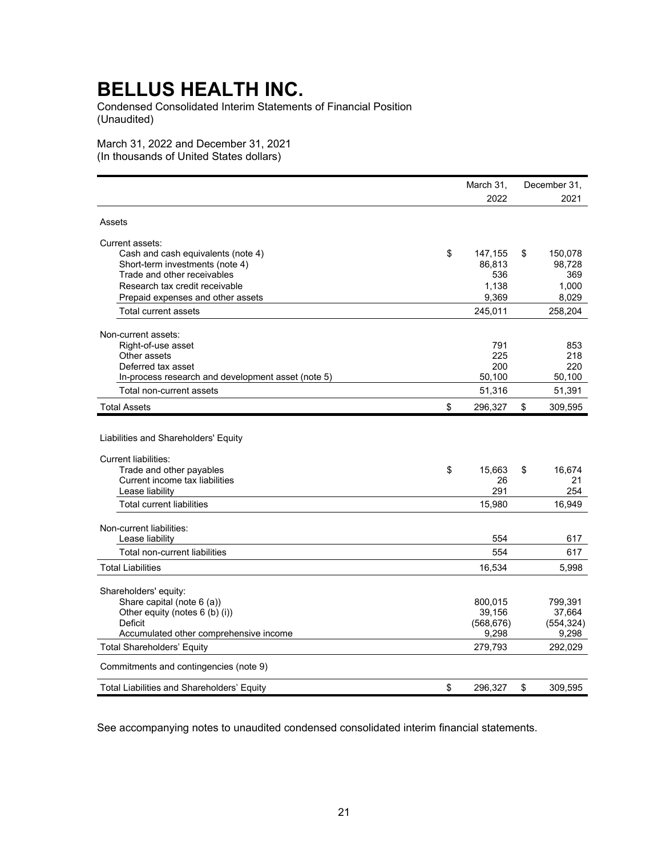Condensed Consolidated Interim Statements of Financial Position (Unaudited)

March 31, 2022 and December 31, 2021 (In thousands of United States dollars)

|                                                                     | March 31,     | December 31.  |
|---------------------------------------------------------------------|---------------|---------------|
|                                                                     | 2022          | 2021          |
| Assets                                                              |               |               |
| Current assets:                                                     |               |               |
| Cash and cash equivalents (note 4)                                  | \$<br>147,155 | \$<br>150,078 |
| Short-term investments (note 4)                                     | 86,813        | 98,728        |
| Trade and other receivables                                         | 536           | 369           |
| Research tax credit receivable                                      | 1,138         | 1,000         |
| Prepaid expenses and other assets                                   | 9,369         | 8,029         |
| Total current assets                                                | 245,011       | 258,204       |
| Non-current assets:                                                 |               |               |
| Right-of-use asset                                                  | 791           | 853           |
| Other assets                                                        | 225           | 218           |
| Deferred tax asset                                                  | 200           | 220           |
| In-process research and development asset (note 5)                  | 50,100        | 50,100        |
| Total non-current assets                                            | 51,316        | 51,391        |
| <b>Total Assets</b>                                                 | \$<br>296,327 | \$<br>309,595 |
| Liabilities and Shareholders' Equity<br><b>Current liabilities:</b> |               |               |
| Trade and other payables                                            | \$<br>15,663  | \$<br>16,674  |
| Current income tax liabilities                                      | 26            | 21            |
| Lease liability                                                     | 291           | 254           |
| <b>Total current liabilities</b>                                    | 15,980        | 16,949        |
| Non-current liabilities:                                            |               |               |
| Lease liability                                                     | 554           | 617           |
| Total non-current liabilities                                       | 554           | 617           |
| <b>Total Liabilities</b>                                            | 16,534        | 5,998         |
| Shareholders' equity:                                               |               |               |
| Share capital (note 6 (a))                                          | 800,015       | 799,391       |
| Other equity (notes 6 (b) (i))                                      | 39,156        | 37,664        |
| <b>Deficit</b>                                                      | (568, 676)    | (554, 324)    |
| Accumulated other comprehensive income                              | 9,298         | 9,298         |
| <b>Total Shareholders' Equity</b>                                   | 279,793       | 292,029       |
| Commitments and contingencies (note 9)                              |               |               |
| Total Liabilities and Shareholders' Equity                          | \$<br>296,327 | \$<br>309,595 |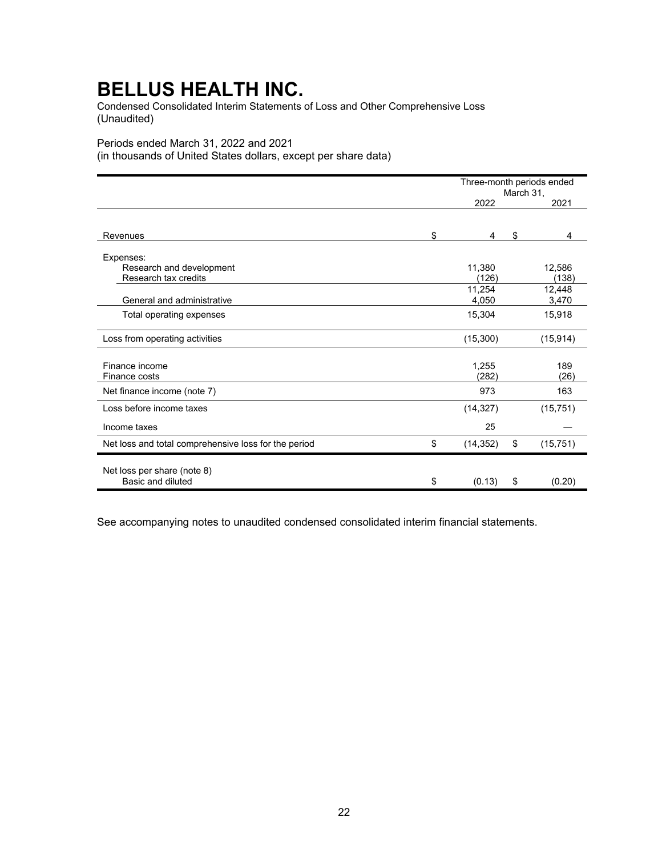Condensed Consolidated Interim Statements of Loss and Other Comprehensive Loss (Unaudited)

## Periods ended March 31, 2022 and 2021

(in thousands of United States dollars, except per share data)

|                                                      | Three-month periods ended<br>March 31, |    |           |  |  |
|------------------------------------------------------|----------------------------------------|----|-----------|--|--|
|                                                      | 2022                                   |    | 2021      |  |  |
|                                                      |                                        |    |           |  |  |
| Revenues                                             | \$<br>4                                | \$ | 4         |  |  |
| Expenses:                                            |                                        |    |           |  |  |
| Research and development                             | 11,380                                 |    | 12,586    |  |  |
| Research tax credits                                 | (126)                                  |    | (138)     |  |  |
|                                                      | 11,254                                 |    | 12,448    |  |  |
| General and administrative                           | 4,050                                  |    | 3,470     |  |  |
| Total operating expenses                             | 15,304                                 |    | 15,918    |  |  |
| Loss from operating activities                       | (15,300)                               |    | (15, 914) |  |  |
|                                                      |                                        |    |           |  |  |
| Finance income                                       | 1,255                                  |    | 189       |  |  |
| Finance costs                                        | (282)                                  |    | (26)      |  |  |
| Net finance income (note 7)                          | 973                                    |    | 163       |  |  |
| Loss before income taxes                             | (14, 327)                              |    | (15, 751) |  |  |
| Income taxes                                         | 25                                     |    |           |  |  |
| Net loss and total comprehensive loss for the period | \$<br>(14, 352)                        | \$ | (15, 751) |  |  |
| Net loss per share (note 8)                          |                                        |    |           |  |  |
| Basic and diluted                                    | \$<br>(0.13)                           | \$ | (0.20)    |  |  |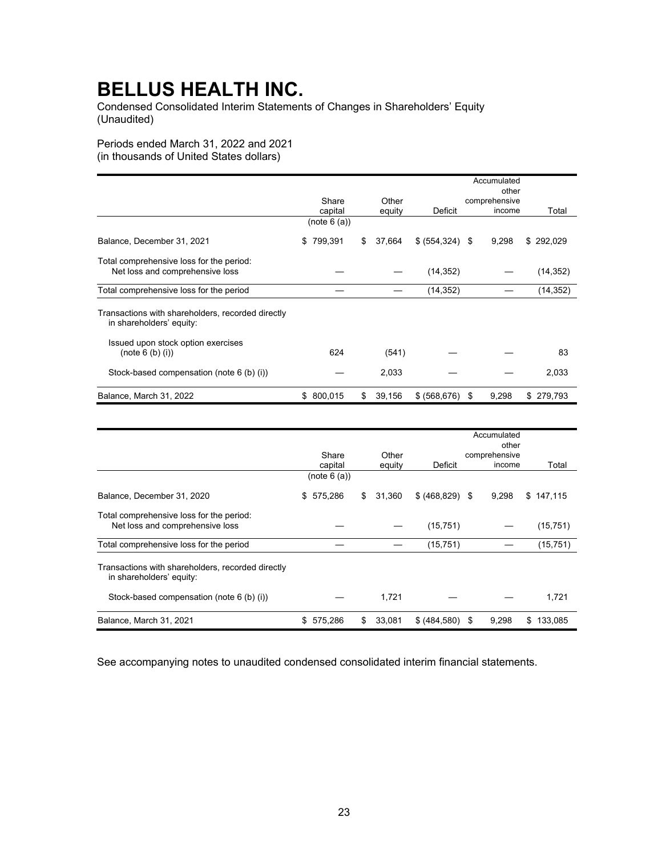Condensed Consolidated Interim Statements of Changes in Shareholders' Equity (Unaudited)

Periods ended March 31, 2022 and 2021

(in thousands of United States dollars)

|                                                                               | Accumulated   |    |        |                   |                        |               |  |
|-------------------------------------------------------------------------------|---------------|----|--------|-------------------|------------------------|---------------|--|
|                                                                               | Share         |    | Other  |                   | other<br>comprehensive |               |  |
|                                                                               | capital       |    | equity | Deficit           | income                 | Total         |  |
|                                                                               | (note 6 (a))  |    |        |                   |                        |               |  |
| Balance, December 31, 2021                                                    | 799,391<br>\$ | \$ | 37,664 | $$ (554, 324)$ \$ | 9,298                  | 292,029<br>\$ |  |
| Total comprehensive loss for the period:<br>Net loss and comprehensive loss   |               |    |        | (14, 352)         |                        | (14, 352)     |  |
| Total comprehensive loss for the period                                       |               |    |        | (14, 352)         |                        | (14, 352)     |  |
| Transactions with shareholders, recorded directly<br>in shareholders' equity: |               |    |        |                   |                        |               |  |
| Issued upon stock option exercises<br>(note 6 (b) (i))                        | 624           |    | (541)  |                   |                        | 83            |  |
| Stock-based compensation (note 6 (b) (i))                                     |               |    | 2,033  |                   |                        | 2,033         |  |
| Balance, March 31, 2022                                                       | \$<br>800,015 | S  | 39,156 | \$ (568, 676)     | 9,298<br>- \$          | \$<br>279,793 |  |

|                                                                               | Accumulated |              |   |        |                  |    |               |               |
|-------------------------------------------------------------------------------|-------------|--------------|---|--------|------------------|----|---------------|---------------|
|                                                                               | other       |              |   |        |                  |    |               |               |
|                                                                               |             | Share        |   | Other  |                  |    | comprehensive |               |
|                                                                               |             | capital      |   | equity | Deficit          |    | income        | Total         |
|                                                                               |             | (note 6 (a)) |   |        |                  |    |               |               |
| Balance, December 31, 2020                                                    | S           | 575,286      | S | 31,360 | \$ (468, 829) \$ |    | 9,298         | 147,115<br>\$ |
| Total comprehensive loss for the period:                                      |             |              |   |        |                  |    |               |               |
| Net loss and comprehensive loss                                               |             |              |   |        | (15, 751)        |    |               | (15, 751)     |
| Total comprehensive loss for the period                                       |             |              |   |        | (15, 751)        |    |               | (15, 751)     |
| Transactions with shareholders, recorded directly<br>in shareholders' equity: |             |              |   |        |                  |    |               |               |
| Stock-based compensation (note 6 (b) (i))                                     |             |              |   | 1,721  |                  |    |               | 1,721         |
| Balance, March 31, 2021                                                       | \$          | 575,286      | S | 33,081 | \$(484,580)      | \$ | 9,298         | 133,085<br>S  |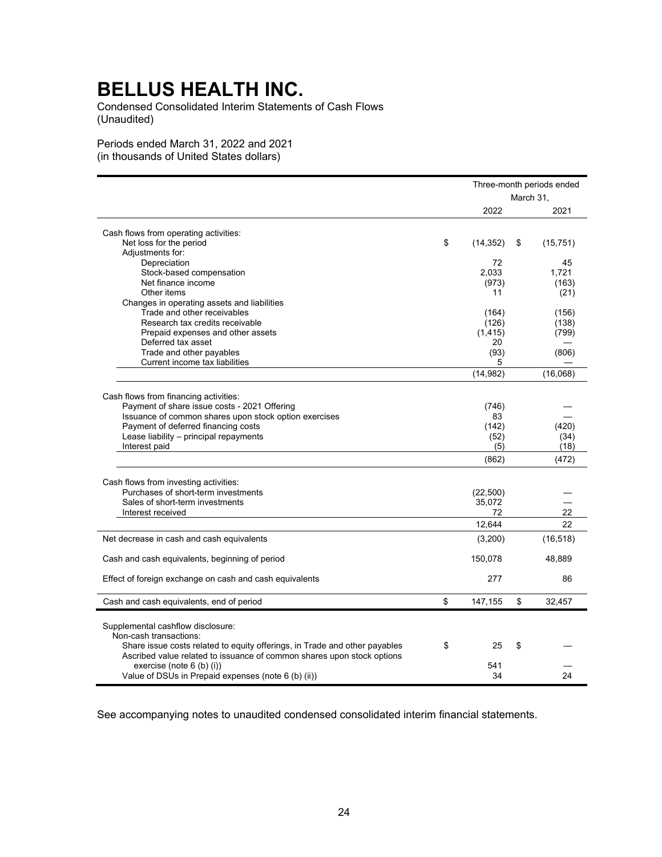Condensed Consolidated Interim Statements of Cash Flows (Unaudited)

Periods ended March 31, 2022 and 2021 (in thousands of United States dollars)

|                                                                            |                 | March 31, | Three-month periods ended |
|----------------------------------------------------------------------------|-----------------|-----------|---------------------------|
|                                                                            | 2022            |           | 2021                      |
|                                                                            |                 |           |                           |
| Cash flows from operating activities:                                      |                 |           |                           |
| Net loss for the period                                                    | \$<br>(14, 352) | \$        | (15, 751)                 |
| Adjustments for:                                                           |                 |           |                           |
| Depreciation                                                               | 72              |           | 45                        |
| Stock-based compensation                                                   | 2.033           |           | 1,721                     |
| Net finance income                                                         | (973)           |           | (163)                     |
| Other items                                                                | 11              |           | (21)                      |
| Changes in operating assets and liabilities                                |                 |           |                           |
| Trade and other receivables                                                | (164)           |           | (156)                     |
| Research tax credits receivable                                            | (126)           |           | (138)                     |
| Prepaid expenses and other assets                                          | (1, 415)        |           | (799)                     |
| Deferred tax asset                                                         | 20              |           |                           |
| Trade and other payables                                                   | (93)            |           | (806)                     |
| Current income tax liabilities                                             | 5               |           |                           |
|                                                                            | (14, 982)       |           | (16,068)                  |
| Cash flows from financing activities:                                      |                 |           |                           |
| Payment of share issue costs - 2021 Offering                               | (746)           |           |                           |
|                                                                            | 83              |           |                           |
| Issuance of common shares upon stock option exercises                      |                 |           |                           |
| Payment of deferred financing costs                                        | (142)           |           | (420)                     |
| Lease liability - principal repayments                                     | (52)            |           | (34)                      |
| Interest paid                                                              | (5)             |           | (18)                      |
|                                                                            | (862)           |           | (472)                     |
| Cash flows from investing activities:                                      |                 |           |                           |
| Purchases of short-term investments                                        | (22, 500)       |           |                           |
| Sales of short-term investments                                            | 35,072          |           |                           |
| Interest received                                                          | 72              |           | 22                        |
|                                                                            | 12,644          |           | 22                        |
| Net decrease in cash and cash equivalents                                  | (3,200)         |           | (16, 518)                 |
| Cash and cash equivalents, beginning of period                             | 150,078         |           | 48,889                    |
| Effect of foreign exchange on cash and cash equivalents                    | 277             |           | 86                        |
|                                                                            |                 |           |                           |
| Cash and cash equivalents, end of period                                   | \$<br>147,155   | \$        | 32,457                    |
|                                                                            |                 |           |                           |
| Supplemental cashflow disclosure:                                          |                 |           |                           |
| Non-cash transactions:                                                     |                 |           |                           |
| Share issue costs related to equity offerings, in Trade and other payables | \$<br>25        | \$        |                           |
| Ascribed value related to issuance of common shares upon stock options     |                 |           |                           |
| exercise (note 6 (b) (i))                                                  | 541             |           |                           |
| Value of DSUs in Prepaid expenses (note 6 (b) (ii))                        | 34              |           | 24                        |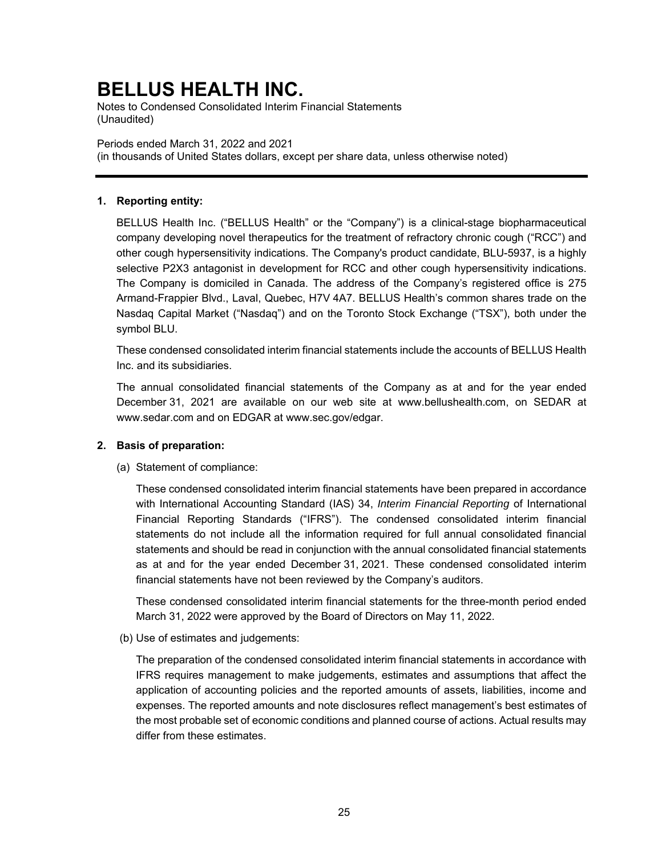Notes to Condensed Consolidated Interim Financial Statements (Unaudited)

Periods ended March 31, 2022 and 2021 (in thousands of United States dollars, except per share data, unless otherwise noted)

### **1. Reporting entity:**

BELLUS Health Inc. ("BELLUS Health" or the "Company") is a clinical-stage biopharmaceutical company developing novel therapeutics for the treatment of refractory chronic cough ("RCC") and other cough hypersensitivity indications. The Company's product candidate, BLU-5937, is a highly selective P2X3 antagonist in development for RCC and other cough hypersensitivity indications. The Company is domiciled in Canada. The address of the Company's registered office is 275 Armand-Frappier Blvd., Laval, Quebec, H7V 4A7. BELLUS Health's common shares trade on the Nasdaq Capital Market ("Nasdaq") and on the Toronto Stock Exchange ("TSX"), both under the symbol BLU.

These condensed consolidated interim financial statements include the accounts of BELLUS Health Inc. and its subsidiaries.

The annual consolidated financial statements of the Company as at and for the year ended December 31, 2021 are available on our web site at www.bellushealth.com, on SEDAR at www.sedar.com and on EDGAR at www.sec.gov/edgar.

### **2. Basis of preparation:**

(a) Statement of compliance:

These condensed consolidated interim financial statements have been prepared in accordance with International Accounting Standard (IAS) 34, *Interim Financial Reporting* of International Financial Reporting Standards ("IFRS"). The condensed consolidated interim financial statements do not include all the information required for full annual consolidated financial statements and should be read in conjunction with the annual consolidated financial statements as at and for the year ended December 31, 2021. These condensed consolidated interim financial statements have not been reviewed by the Company's auditors.

These condensed consolidated interim financial statements for the three-month period ended March 31, 2022 were approved by the Board of Directors on May 11, 2022.

(b) Use of estimates and judgements:

The preparation of the condensed consolidated interim financial statements in accordance with IFRS requires management to make judgements, estimates and assumptions that affect the application of accounting policies and the reported amounts of assets, liabilities, income and expenses. The reported amounts and note disclosures reflect management's best estimates of the most probable set of economic conditions and planned course of actions. Actual results may differ from these estimates.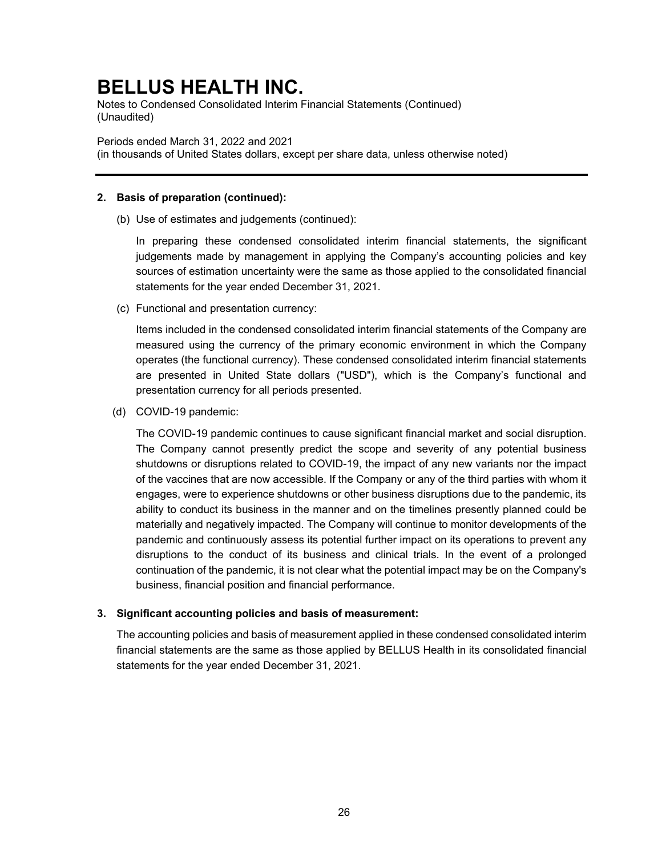Notes to Condensed Consolidated Interim Financial Statements (Continued) (Unaudited)

Periods ended March 31, 2022 and 2021

(in thousands of United States dollars, except per share data, unless otherwise noted)

### **2. Basis of preparation (continued):**

(b) Use of estimates and judgements (continued):

In preparing these condensed consolidated interim financial statements, the significant judgements made by management in applying the Company's accounting policies and key sources of estimation uncertainty were the same as those applied to the consolidated financial statements for the year ended December 31, 2021.

(c) Functional and presentation currency:

Items included in the condensed consolidated interim financial statements of the Company are measured using the currency of the primary economic environment in which the Company operates (the functional currency). These condensed consolidated interim financial statements are presented in United State dollars ("USD"), which is the Company's functional and presentation currency for all periods presented.

(d) COVID-19 pandemic:

The COVID-19 pandemic continues to cause significant financial market and social disruption. The Company cannot presently predict the scope and severity of any potential business shutdowns or disruptions related to COVID-19, the impact of any new variants nor the impact of the vaccines that are now accessible. If the Company or any of the third parties with whom it engages, were to experience shutdowns or other business disruptions due to the pandemic, its ability to conduct its business in the manner and on the timelines presently planned could be materially and negatively impacted. The Company will continue to monitor developments of the pandemic and continuously assess its potential further impact on its operations to prevent any disruptions to the conduct of its business and clinical trials. In the event of a prolonged continuation of the pandemic, it is not clear what the potential impact may be on the Company's business, financial position and financial performance.

### **3. Significant accounting policies and basis of measurement:**

The accounting policies and basis of measurement applied in these condensed consolidated interim financial statements are the same as those applied by BELLUS Health in its consolidated financial statements for the year ended December 31, 2021.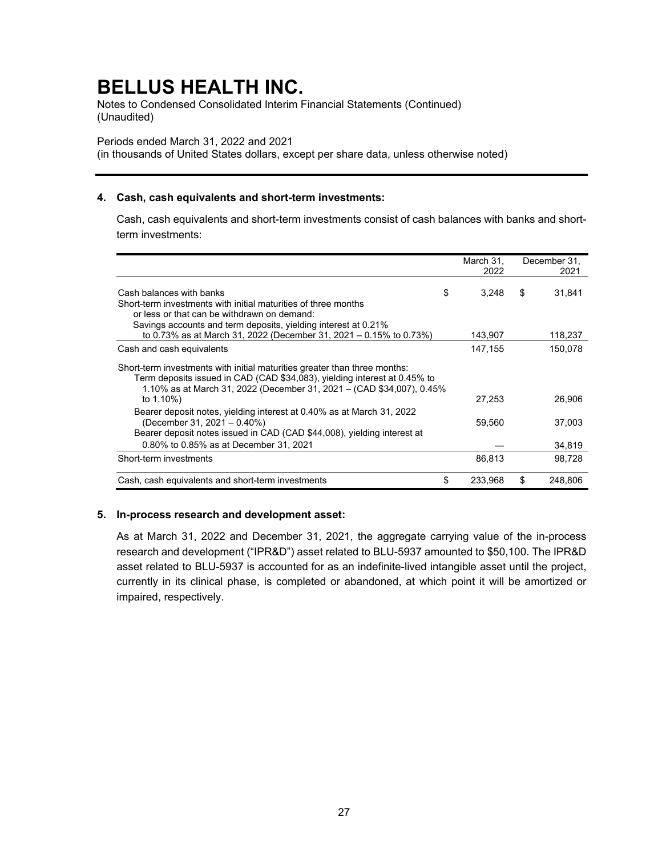Notes to Condensed Consolidated Interim Financial Statements (Continued) (Unaudited)

#### Periods ended March 31, 2022 and 2021

(in thousands of United States dollars, except per share data, unless otherwise noted)

### **4. Cash, cash equivalents and short-term investments:**

Cash, cash equivalents and short-term investments consist of cash balances with banks and shortterm investments:

|                                                                                                                                                                                                                                 | March 31,<br>2022 | December 31,<br>2021 |
|---------------------------------------------------------------------------------------------------------------------------------------------------------------------------------------------------------------------------------|-------------------|----------------------|
| Cash balances with banks<br>Short-term investments with initial maturities of three months                                                                                                                                      | \$<br>3.248       | \$<br>31.841         |
| or less or that can be withdrawn on demand:                                                                                                                                                                                     |                   |                      |
| Savings accounts and term deposits, yielding interest at 0.21%<br>to 0.73% as at March 31, 2022 (December 31, 2021 - 0.15% to 0.73%)                                                                                            | 143,907           | 118,237              |
| Cash and cash equivalents                                                                                                                                                                                                       | 147,155           | 150.078              |
| Short-term investments with initial maturities greater than three months:<br>Term deposits issued in CAD (CAD \$34,083), yielding interest at 0.45% to<br>1.10% as at March 31, 2022 (December 31, 2021 – (CAD \$34,007), 0.45% |                   |                      |
| to 1.10%)                                                                                                                                                                                                                       | 27,253            | 26,906               |
| Bearer deposit notes, yielding interest at 0.40% as at March 31, 2022<br>(December 31, 2021 – 0.40%)<br>Bearer deposit notes issued in CAD (CAD \$44,008), yielding interest at                                                 | 59,560            | 37.003               |
| 0.80% to 0.85% as at December 31, 2021                                                                                                                                                                                          |                   | 34,819               |
| Short-term investments                                                                                                                                                                                                          | 86,813            | 98.728               |
| Cash, cash equivalents and short-term investments                                                                                                                                                                               | \$<br>233.968     | \$<br>248.806        |

### **5. In-process research and development asset:**

As at March 31, 2022 and December 31, 2021, the aggregate carrying value of the in-process research and development ("IPR&D") asset related to BLU-5937 amounted to \$50,100. The IPR&D asset related to BLU-5937 is accounted for as an indefinite-lived intangible asset until the project, currently in its clinical phase, is completed or abandoned, at which point it will be amortized or impaired, respectively.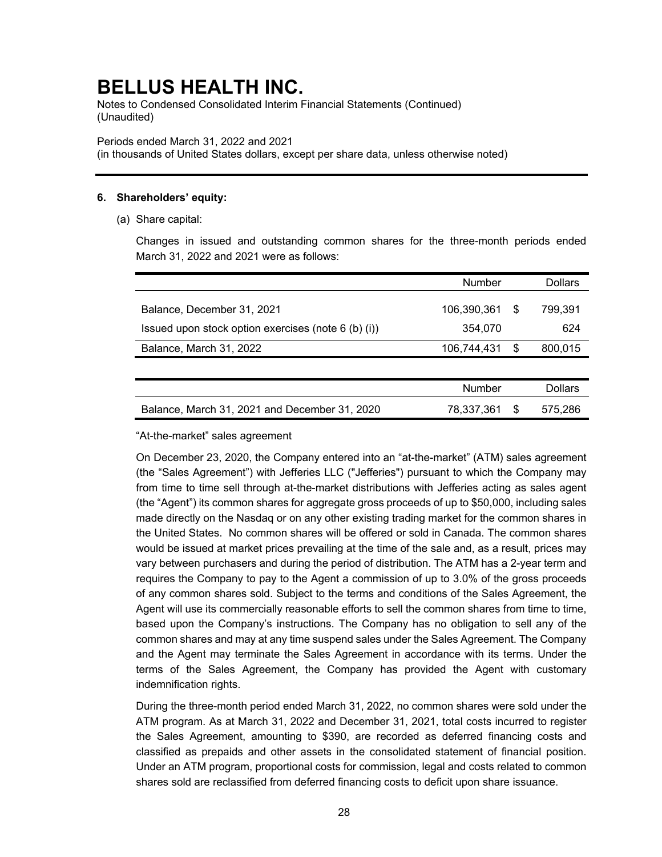Notes to Condensed Consolidated Interim Financial Statements (Continued) (Unaudited)

#### Periods ended March 31, 2022 and 2021

(in thousands of United States dollars, except per share data, unless otherwise noted)

### **6. Shareholders' equity:**

(a) Share capital:

Changes in issued and outstanding common shares for the three-month periods ended March 31, 2022 and 2021 were as follows:

|                                                     | Number      |     | <b>Dollars</b> |
|-----------------------------------------------------|-------------|-----|----------------|
| Balance, December 31, 2021                          | 106,390,361 | S   | 799,391        |
| Issued upon stock option exercises (note 6 (b) (i)) | 354,070     |     | 624            |
| Balance, March 31, 2022                             | 106,744,431 | \$. | 800,015        |
|                                                     |             |     |                |
|                                                     | Number      |     | <b>Dollars</b> |
| Balance, March 31, 2021 and December 31, 2020       | 78,337,361  | S   | 575,286        |
|                                                     |             |     |                |

"At-the-market" sales agreement

On December 23, 2020, the Company entered into an "at-the-market" (ATM) sales agreement (the "Sales Agreement") with Jefferies LLC ("Jefferies") pursuant to which the Company may from time to time sell through at-the-market distributions with Jefferies acting as sales agent (the "Agent") its common shares for aggregate gross proceeds of up to \$50,000, including sales made directly on the Nasdaq or on any other existing trading market for the common shares in the United States. No common shares will be offered or sold in Canada. The common shares would be issued at market prices prevailing at the time of the sale and, as a result, prices may vary between purchasers and during the period of distribution. The ATM has a 2-year term and requires the Company to pay to the Agent a commission of up to 3.0% of the gross proceeds of any common shares sold. Subject to the terms and conditions of the Sales Agreement, the Agent will use its commercially reasonable efforts to sell the common shares from time to time, based upon the Company's instructions. The Company has no obligation to sell any of the common shares and may at any time suspend sales under the Sales Agreement. The Company and the Agent may terminate the Sales Agreement in accordance with its terms. Under the terms of the Sales Agreement, the Company has provided the Agent with customary indemnification rights.

During the three-month period ended March 31, 2022, no common shares were sold under the ATM program. As at March 31, 2022 and December 31, 2021, total costs incurred to register the Sales Agreement, amounting to \$390, are recorded as deferred financing costs and classified as prepaids and other assets in the consolidated statement of financial position. Under an ATM program, proportional costs for commission, legal and costs related to common shares sold are reclassified from deferred financing costs to deficit upon share issuance.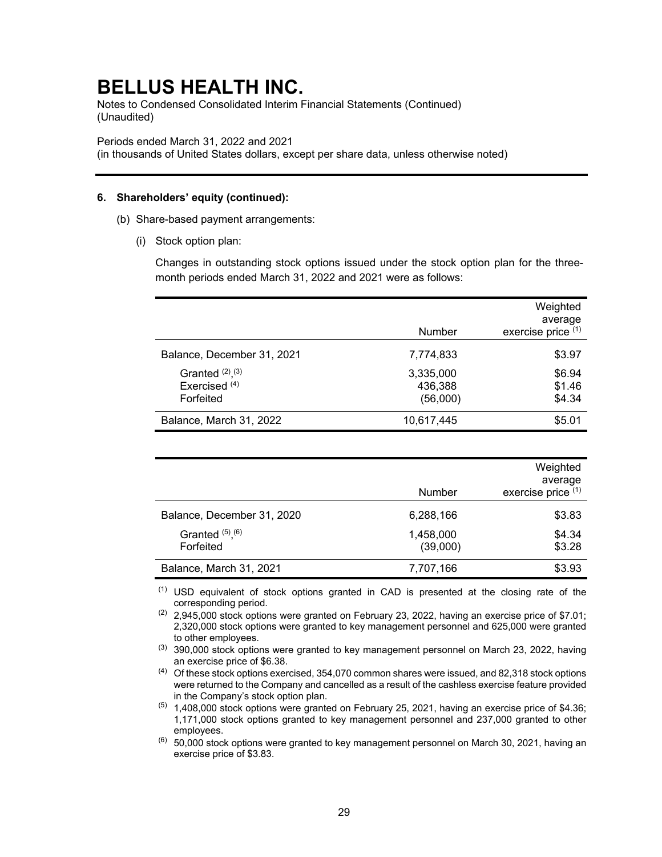Notes to Condensed Consolidated Interim Financial Statements (Continued) (Unaudited)

Periods ended March 31, 2022 and 2021

(in thousands of United States dollars, except per share data, unless otherwise noted)

### **6. Shareholders' equity (continued):**

- (b) Share-based payment arrangements:
	- (i) Stock option plan:

Changes in outstanding stock options issued under the stock option plan for the threemonth periods ended March 31, 2022 and 2021 were as follows:

|                                                                |                                  | Weighted<br>average        |
|----------------------------------------------------------------|----------------------------------|----------------------------|
|                                                                | Number                           | exercise price (1)         |
| Balance, December 31, 2021                                     | 7,774,833                        | \$3.97                     |
| Granted $(2)$ , $(3)$<br>Exercised <sup>(4)</sup><br>Forfeited | 3,335,000<br>436,388<br>(56,000) | \$6.94<br>\$1.46<br>\$4.34 |
| Balance, March 31, 2022                                        | 10,617,445                       | \$5.01                     |

|                                    | Number                | Weighted<br>average<br>exercise price (1) |
|------------------------------------|-----------------------|-------------------------------------------|
| Balance, December 31, 2020         | 6,288,166             | \$3.83                                    |
| Granted $(5)$ , $(6)$<br>Forfeited | 1,458,000<br>(39,000) | \$4.34<br>\$3.28                          |
| Balance, March 31, 2021            | 7,707,166             | \$3.93                                    |

(1) USD equivalent of stock options granted in CAD is presented at the closing rate of the corresponding period.

 $(2)$  2,945,000 stock options were granted on February 23, 2022, having an exercise price of \$7.01; 2,320,000 stock options were granted to key management personnel and 625,000 were granted to other employees.

 $(3)$  390,000 stock options were granted to key management personnel on March 23, 2022, having an exercise price of \$6.38.

 $(4)$  Of these stock options exercised, 354,070 common shares were issued, and 82,318 stock options were returned to the Company and cancelled as a result of the cashless exercise feature provided in the Company's stock option plan.

 $(5)$  1,408,000 stock options were granted on February 25, 2021, having an exercise price of \$4.36; 1,171,000 stock options granted to key management personnel and 237,000 granted to other employees.

 $(6)$  50,000 stock options were granted to key management personnel on March 30, 2021, having an exercise price of \$3.83.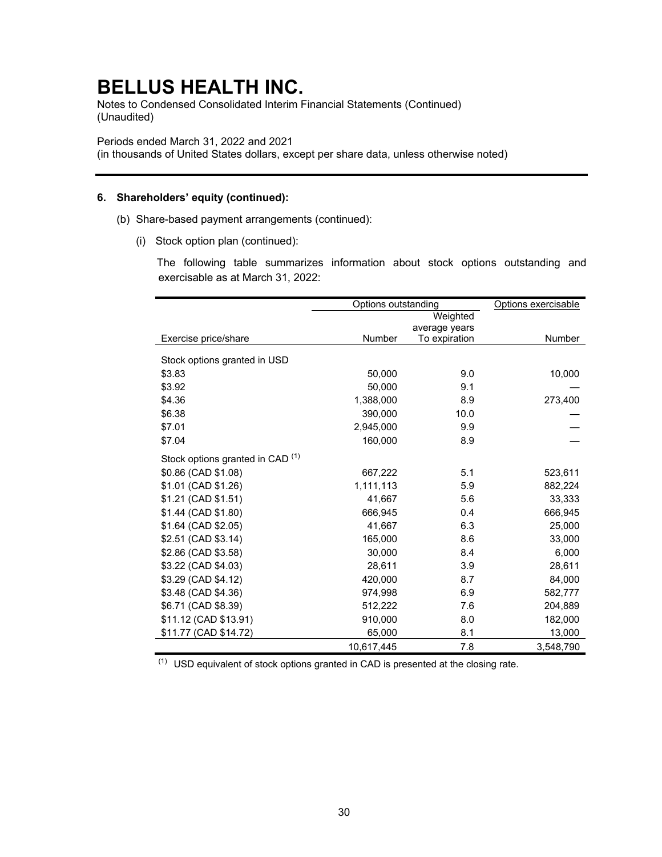Notes to Condensed Consolidated Interim Financial Statements (Continued) (Unaudited)

Periods ended March 31, 2022 and 2021

(in thousands of United States dollars, except per share data, unless otherwise noted)

### **6. Shareholders' equity (continued):**

- (b) Share-based payment arrangements (continued):
	- (i) Stock option plan (continued):

The following table summarizes information about stock options outstanding and exercisable as at March 31, 2022:

|                                             | Options outstanding | Options exercisable |           |
|---------------------------------------------|---------------------|---------------------|-----------|
|                                             |                     | Weighted            |           |
|                                             |                     | average years       |           |
| Exercise price/share                        | Number              | To expiration       | Number    |
| Stock options granted in USD                |                     |                     |           |
| \$3.83                                      | 50,000              | 9.0                 | 10,000    |
| \$3.92                                      | 50,000              | 9.1                 |           |
| \$4.36                                      | 1,388,000           | 8.9                 | 273,400   |
| \$6.38                                      | 390,000             | 10.0                |           |
| \$7.01                                      | 2,945,000           | 9.9                 |           |
| \$7.04                                      | 160,000             | 8.9                 |           |
| Stock options granted in CAD <sup>(1)</sup> |                     |                     |           |
| \$0.86 (CAD \$1.08)                         | 667,222             | 5.1                 | 523,611   |
| \$1.01 (CAD \$1.26)                         | 1,111,113           | 5.9                 | 882,224   |
| \$1.21 (CAD \$1.51)                         | 41,667              | 5.6                 | 33,333    |
| \$1.44 (CAD \$1.80)                         | 666,945             | 0.4                 | 666,945   |
| \$1.64 (CAD \$2.05)                         | 41,667              | 6.3                 | 25,000    |
| \$2.51 (CAD \$3.14)                         | 165,000             | 8.6                 | 33,000    |
| \$2.86 (CAD \$3.58)                         | 30,000              | 8.4                 | 6,000     |
| \$3.22 (CAD \$4.03)                         | 28.611              | 3.9                 | 28,611    |
| \$3.29 (CAD \$4.12)                         | 420,000             | 8.7                 | 84,000    |
| \$3.48 (CAD \$4.36)                         | 974,998             | 6.9                 | 582,777   |
| \$6.71 (CAD \$8.39)                         | 512,222             | 7.6                 | 204,889   |
| \$11.12 (CAD \$13.91)                       | 910,000             | 8.0                 | 182,000   |
| \$11.77 (CAD \$14.72)                       | 65,000              | 8.1                 | 13,000    |
|                                             | 10,617,445          | 7.8                 | 3,548,790 |

 $(1)$  USD equivalent of stock options granted in CAD is presented at the closing rate.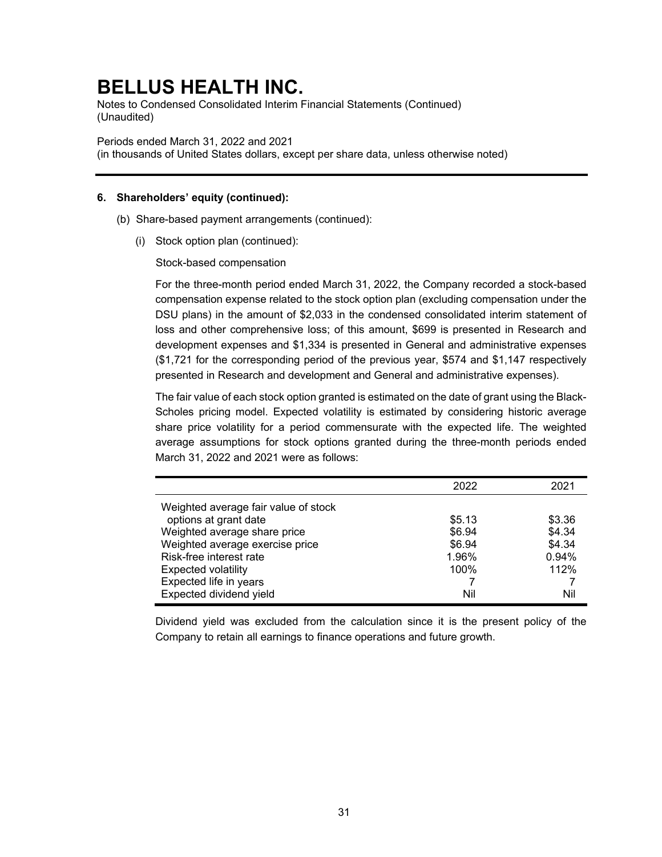Notes to Condensed Consolidated Interim Financial Statements (Continued) (Unaudited)

Periods ended March 31, 2022 and 2021

(in thousands of United States dollars, except per share data, unless otherwise noted)

### **6. Shareholders' equity (continued):**

- (b) Share-based payment arrangements (continued):
	- (i) Stock option plan (continued):

Stock-based compensation

For the three-month period ended March 31, 2022, the Company recorded a stock-based compensation expense related to the stock option plan (excluding compensation under the DSU plans) in the amount of \$2,033 in the condensed consolidated interim statement of loss and other comprehensive loss; of this amount, \$699 is presented in Research and development expenses and \$1,334 is presented in General and administrative expenses (\$1,721 for the corresponding period of the previous year, \$574 and \$1,147 respectively presented in Research and development and General and administrative expenses).

The fair value of each stock option granted is estimated on the date of grant using the Black-Scholes pricing model. Expected volatility is estimated by considering historic average share price volatility for a period commensurate with the expected life. The weighted average assumptions for stock options granted during the three-month periods ended March 31, 2022 and 2021 were as follows:

|                                      | 2022   | 2021   |
|--------------------------------------|--------|--------|
| Weighted average fair value of stock |        |        |
| options at grant date                | \$5.13 | \$3.36 |
| Weighted average share price         | \$6.94 | \$4.34 |
| Weighted average exercise price      | \$6.94 | \$4.34 |
| Risk-free interest rate              | 1.96%  | 0.94%  |
| <b>Expected volatility</b>           | 100%   | 112%   |
| Expected life in years               |        |        |
| Expected dividend yield              | Nil    | Nil    |

Dividend yield was excluded from the calculation since it is the present policy of the Company to retain all earnings to finance operations and future growth.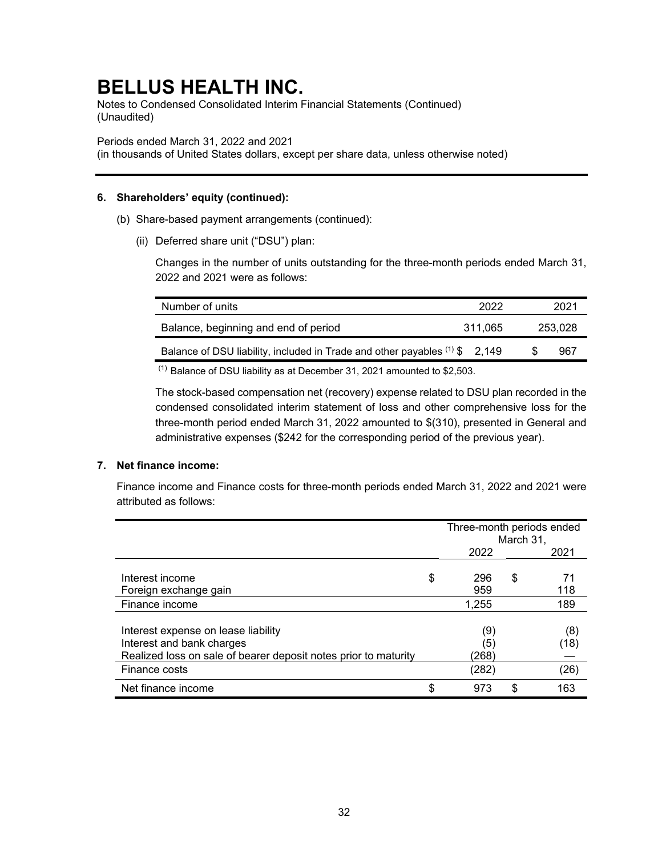Notes to Condensed Consolidated Interim Financial Statements (Continued) (Unaudited)

Periods ended March 31, 2022 and 2021

(in thousands of United States dollars, except per share data, unless otherwise noted)

### **6. Shareholders' equity (continued):**

- (b) Share-based payment arrangements (continued):
	- (ii) Deferred share unit ("DSU") plan:

Changes in the number of units outstanding for the three-month periods ended March 31, 2022 and 2021 were as follows:

| Number of units                                                               | 2022    |     | 2021    |
|-------------------------------------------------------------------------------|---------|-----|---------|
| Balance, beginning and end of period                                          | 311.065 |     | 253.028 |
| Balance of DSU liability, included in Trade and other payables $(1)$ \$ 2,149 |         | \$. | 967     |
| $(1) - 1$<br>.                                                                |         |     |         |

 $(1)$  Balance of DSU liability as at December 31, 2021 amounted to \$2,503.

The stock-based compensation net (recovery) expense related to DSU plan recorded in the condensed consolidated interim statement of loss and other comprehensive loss for the three-month period ended March 31, 2022 amounted to \$(310), presented in General and administrative expenses (\$242 for the corresponding period of the previous year).

### **7. Net finance income:**

Finance income and Finance costs for three-month periods ended March 31, 2022 and 2021 were attributed as follows:

|                                                                                                                                     | Three-month periods ended<br>March 31, |    |             |
|-------------------------------------------------------------------------------------------------------------------------------------|----------------------------------------|----|-------------|
|                                                                                                                                     | 2022                                   |    | 2021        |
| Interest income<br>Foreign exchange gain                                                                                            | \$<br>296<br>959                       | \$ | 71<br>118   |
| Finance income                                                                                                                      | 1,255                                  |    | 189         |
| Interest expense on lease liability<br>Interest and bank charges<br>Realized loss on sale of bearer deposit notes prior to maturity | (9)<br>(5)<br>(268                     |    | (8)<br>(18) |
| Finance costs                                                                                                                       | (282)                                  |    | (26)        |
| Net finance income                                                                                                                  | \$<br>973                              | S  | 163         |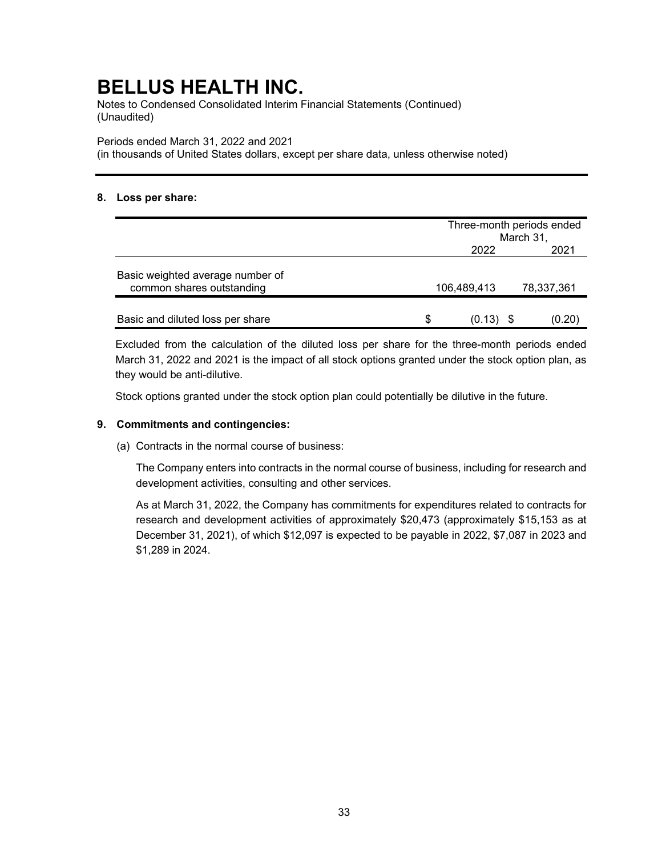Notes to Condensed Consolidated Interim Financial Statements (Continued) (Unaudited)

Periods ended March 31, 2022 and 2021

(in thousands of United States dollars, except per share data, unless otherwise noted)

### **8. Loss per share:**

|                                                               |               | Three-month periods ended |  |  |
|---------------------------------------------------------------|---------------|---------------------------|--|--|
|                                                               |               | March 31,                 |  |  |
|                                                               | 2022          | 2021                      |  |  |
| Basic weighted average number of<br>common shares outstanding | 106,489,413   | 78,337,361                |  |  |
| Basic and diluted loss per share                              | \$.<br>(0.13) | (0.20)                    |  |  |

Excluded from the calculation of the diluted loss per share for the three-month periods ended March 31, 2022 and 2021 is the impact of all stock options granted under the stock option plan, as they would be anti-dilutive.

Stock options granted under the stock option plan could potentially be dilutive in the future.

### **9. Commitments and contingencies:**

(a) Contracts in the normal course of business:

The Company enters into contracts in the normal course of business, including for research and development activities, consulting and other services.

As at March 31, 2022, the Company has commitments for expenditures related to contracts for research and development activities of approximately \$20,473 (approximately \$15,153 as at December 31, 2021), of which \$12,097 is expected to be payable in 2022, \$7,087 in 2023 and \$1,289 in 2024.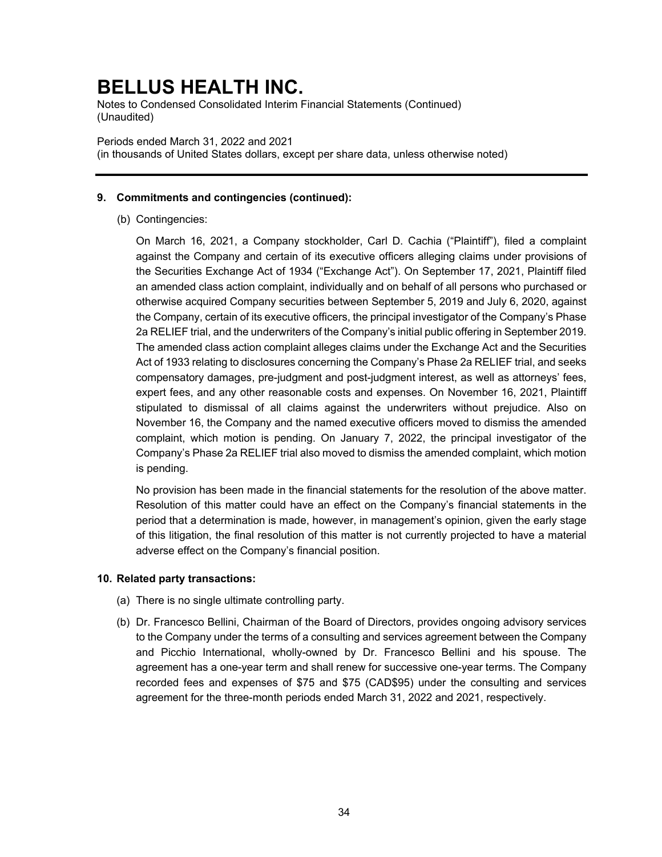Notes to Condensed Consolidated Interim Financial Statements (Continued) (Unaudited)

### Periods ended March 31, 2022 and 2021

(in thousands of United States dollars, except per share data, unless otherwise noted)

### **9. Commitments and contingencies (continued):**

(b) Contingencies:

On March 16, 2021, a Company stockholder, Carl D. Cachia ("Plaintiff"), filed a complaint against the Company and certain of its executive officers alleging claims under provisions of the Securities Exchange Act of 1934 ("Exchange Act"). On September 17, 2021, Plaintiff filed an amended class action complaint, individually and on behalf of all persons who purchased or otherwise acquired Company securities between September 5, 2019 and July 6, 2020, against the Company, certain of its executive officers, the principal investigator of the Company's Phase 2a RELIEF trial, and the underwriters of the Company's initial public offering in September 2019. The amended class action complaint alleges claims under the Exchange Act and the Securities Act of 1933 relating to disclosures concerning the Company's Phase 2a RELIEF trial, and seeks compensatory damages, pre-judgment and post-judgment interest, as well as attorneys' fees, expert fees, and any other reasonable costs and expenses. On November 16, 2021, Plaintiff stipulated to dismissal of all claims against the underwriters without prejudice. Also on November 16, the Company and the named executive officers moved to dismiss the amended complaint, which motion is pending. On January 7, 2022, the principal investigator of the Company's Phase 2a RELIEF trial also moved to dismiss the amended complaint, which motion is pending.

No provision has been made in the financial statements for the resolution of the above matter. Resolution of this matter could have an effect on the Company's financial statements in the period that a determination is made, however, in management's opinion, given the early stage of this litigation, the final resolution of this matter is not currently projected to have a material adverse effect on the Company's financial position.

### **10. Related party transactions:**

- (a) There is no single ultimate controlling party.
- (b) Dr. Francesco Bellini, Chairman of the Board of Directors, provides ongoing advisory services to the Company under the terms of a consulting and services agreement between the Company and Picchio International, wholly-owned by Dr. Francesco Bellini and his spouse. The agreement has a one-year term and shall renew for successive one-year terms. The Company recorded fees and expenses of \$75 and \$75 (CAD\$95) under the consulting and services agreement for the three-month periods ended March 31, 2022 and 2021, respectively.